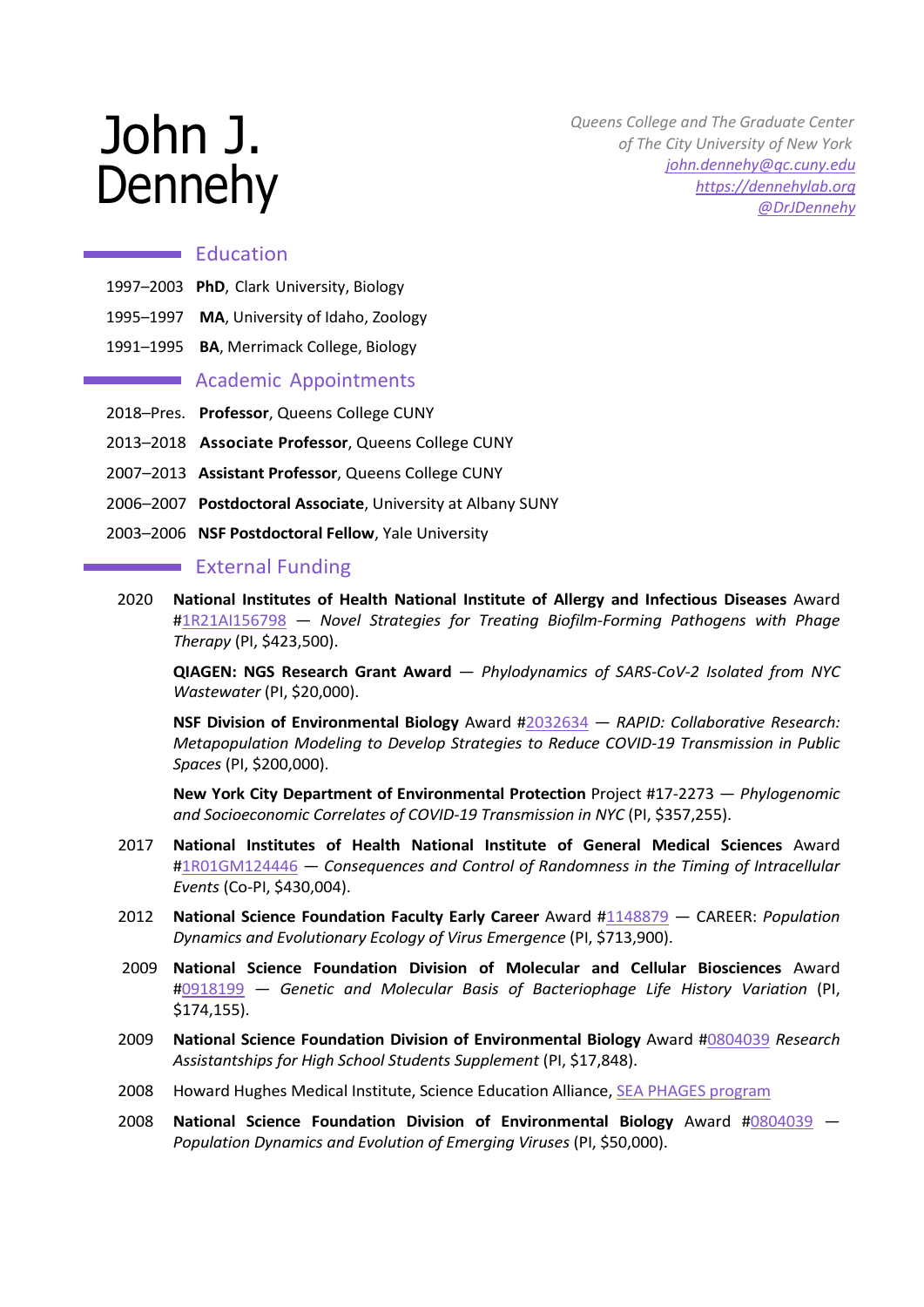# John J. Dennehy

 *Queens College and The Graduate Center of The City University of New York [john.dennehy@qc.cuny.edu](mailto:john.dennehy@qc.cuny.edu) [https://dennehylab.org](https://dennehylab.org/) [@DrJDennehy](https://twitter.com/DrJDennehy)*

# **Education**

- 1997–2003 **PhD**, Clark University, Biology
- 1995–1997 **MA**, University of Idaho, Zoology
- 1991–1995 **BA**, Merrimack College, Biology

# **Academic Appointments**

- 2018–Pres. **Professor**, Queens College CUNY
- 2013–2018 **Associate Professor**, Queens College CUNY
- 2007–2013 **Assistant Professor**, Queens College CUNY
- 2006–2007 **Postdoctoral Associate**, University at Albany SUNY
- 2003–2006 **NSF Postdoctoral Fellow**, Yale University

### **External Funding**

2020 **National Institutes of Health National Institute of Allergy and Infectious Diseases** Award [#1R21AI156798](https://taggs.hhs.gov/Detail/AwardDetail?arg_AwardNum=R21AI156798&arg_ProgOfficeCode=104) — *Novel Strategies for Treating Biofilm-Forming Pathogens with Phage Therapy* (PI, \$423,500).

**QIAGEN: NGS Research Grant Award** — *Phylodynamics of SARS-CoV-2 Isolated from NYC Wastewater* (PI, \$20,000).

**NSF Division of Environmental Biology** Award [#2032634](https://www.nsf.gov/awardsearch/showAward?AWD_ID=2032645&HistoricalAwards=false) — *RAPID: Collaborative Research: Metapopulation Modeling to Develop Strategies to Reduce COVID-19 Transmission in Public Spaces* (PI, \$200,000).

**New York City Department of Environmental Protection** Project #17-2273 — *Phylogenomic and Socioeconomic Correlates of COVID-19 Transmission in NYC* (PI, \$357,255).

- 2017 **National Institutes of Health National Institute of General Medical Sciences** Award [#1R01GM124446](https://grantome.com/grant/NIH/R01-GM124446-03S1) — *Consequences and Control of Randomness in the Timing of Intracellular Events* (Co-PI, \$430,004).
- 2012 **National Science Foundation Faculty Early Career** Award [#1148879](https://www.nsf.gov/awardsearch/showAward?AWD_ID=1148879&HistoricalAwards=false) CAREER: *Population Dynamics and Evolutionary Ecology of Virus Emergence* (PI, \$713,900).
- 2009 **National Science Foundation Division of Molecular and Cellular Biosciences** Award [#0918199](https://www.nsf.gov/awardsearch/showAward?AWD_ID=0918199) — *Genetic and Molecular Basis of Bacteriophage Life History Variation* (PI, \$174,155).
- 2009 **National Science Foundation Division of Environmental Biology** Award [#0804039](https://www.nsf.gov/awardsearch/showAward?AWD_ID=0804039) *Research Assistantships for High School Students Supplement* (PI, \$17,848).
- 2008 Howard Hughes Medical Institute, Science Education Alliance, [SEA PHAGES program](https://seaphages.org/)
- 2008 **National Science Foundation Division of Environmental Biology** Award [#0804039](https://www.nsf.gov/awardsearch/showAward?AWD_ID=0804039) *Population Dynamics and Evolution of Emerging Viruses* (PI, \$50,000).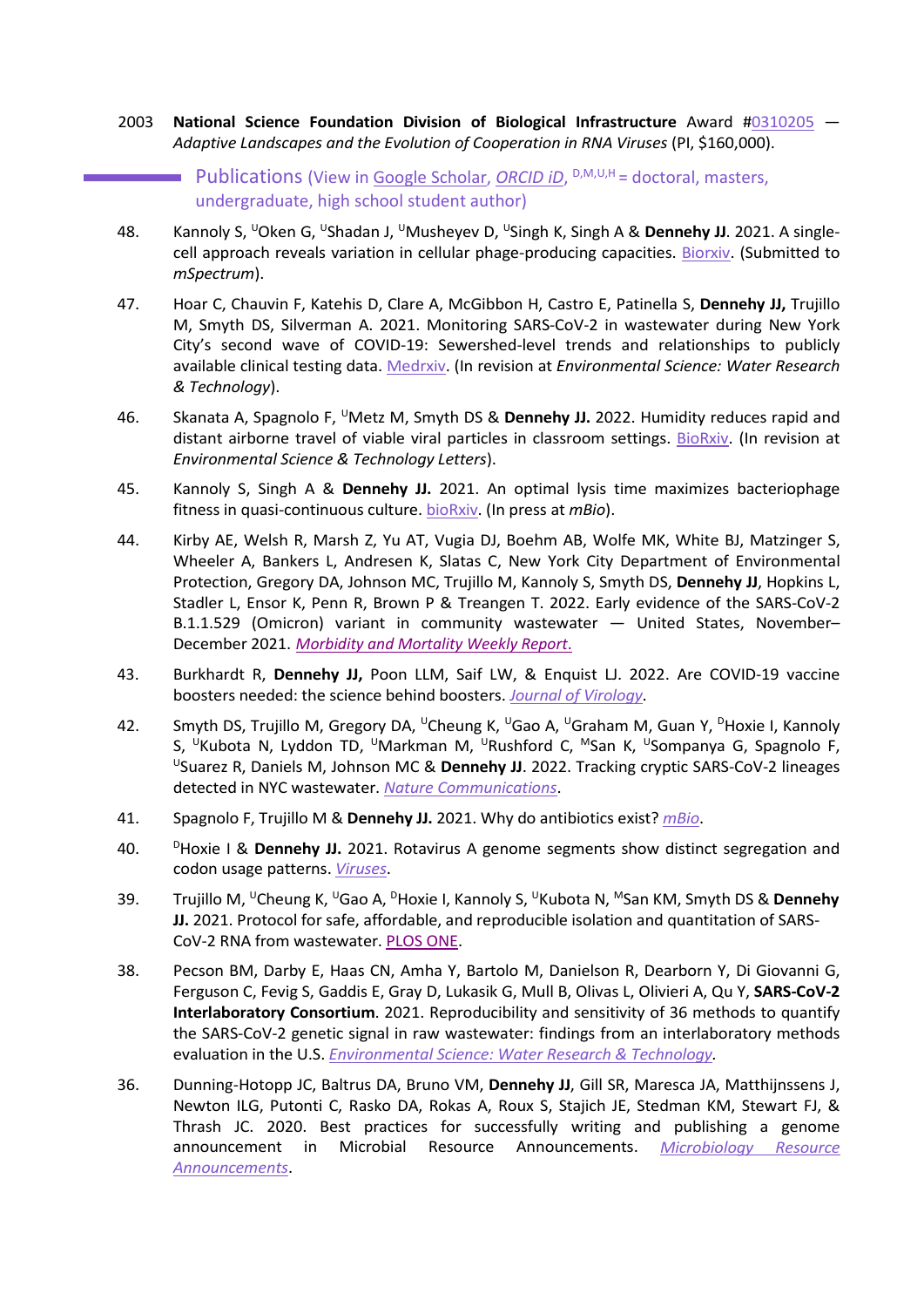- 2003 **National Science Foundation Division of Biological Infrastructure** Award [#0310205](https://www.nsf.gov/awardsearch/showAward?AWD_ID=0310205) *Adaptive Landscapes and the Evolution of Cooperation in RNA Viruses* (PI, \$160,000).
	- Publications (View in [Google Scholar,](https://scholar.google.com/citations?user=xHV6zmQAAAAJ&hl=en) *[ORCID iD](https://orcid.org/0000-0002-9678-4529)*, <sup>D,M,U,H</sup> = doctoral, masters, undergraduate, high school student author)
- 48. Kannoly S, <sup>U</sup>Oken G, <sup>U</sup>Shadan J, <sup>U</sup>Musheyev D, <sup>U</sup>Singh K, Singh A & Dennehy JJ. 2021. A singlecell approach reveals variation in cellular phage-producing capacities. [Biorxiv.](https://www.biorxiv.org/content/10.1101/2021.10.19.465070v1) (Submitted to *mSpectrum*).
- 47. Hoar C, Chauvin F, Katehis D, Clare A, McGibbon H, Castro E, Patinella S, **Dennehy JJ,** Trujillo M, Smyth DS, Silverman A. 2021. Monitoring SARS-CoV-2 in wastewater during New York City's second wave of COVID-19: Sewershed-level trends and relationships to publicly available clinical testing data. [Medrxiv.](https://www.medrxiv.org/content/10.1101/2022.02.08.22270666v1) (In revision at *Environmental Science: Water Research & Technology*).
- 46. Skanata A, Spagnolo F, UMetz M, Smyth DS & **Dennehy JJ.** 2022. Humidity reduces rapid and distant airborne travel of viable viral particles in classroom settings. [BioRxiv.](https://www.biorxiv.org/content/10.1101/2021.06.22.449435v1) (In revision at *Environmental Science & Technology Letters*).
- 45. Kannoly S, Singh A & **Dennehy JJ.** 2021. An optimal lysis time maximizes bacteriophage fitness in quasi-continuous culture. [bioRxiv.](https://www.biorxiv.org/content/10.1101/2020.05.11.089508v1) (In press at *mBio*).
- 44. Kirby AE, Welsh R, Marsh Z, Yu AT, Vugia DJ, Boehm AB, Wolfe MK, White BJ, Matzinger S, Wheeler A, Bankers L, Andresen K, Slatas C, New York City Department of Environmental Protection, Gregory DA, Johnson MC, Trujillo M, Kannoly S, Smyth DS, **Dennehy JJ**, Hopkins L, Stadler L, Ensor K, Penn R, Brown P & Treangen T. 2022. Early evidence of the SARS-CoV-2 B.1.1.529 (Omicron) variant in community wastewater — United States, November– December 2021. *[Morbidity and Mortality Weekly Report](https://www.cdc.gov/mmwr/volumes/71/wr/mm7103a5.htm)*.
- 43. Burkhardt R, **Dennehy JJ,** Poon LLM, Saif LW, & Enquist LJ. 2022. Are COVID-19 vaccine boosters needed: the science behind boosters. *[Journal of Virology](https://journals.asm.org/doi/epdf/10.1128/JVI.01973-21)*.
- 42. Smyth DS, Trujillo M, Gregory DA, <sup>U</sup>Cheung K, <sup>U</sup>Gao A, <sup>U</sup>Graham M, Guan Y, <sup>D</sup>Hoxie I, Kannoly S, <sup>U</sup>Kubota N, Lyddon TD, <sup>U</sup>Markman M, <sup>U</sup>Rushford C, <sup>M</sup>San K, <sup>U</sup>Sompanya G, Spagnolo F, USuarez R, Daniels M, Johnson MC & **Dennehy JJ**. 2022. Tracking cryptic SARS-CoV-2 lineages detected in NYC wastewater. *Nature [Communications](https://www.nature.com/articles/s41467-022-28246-3)*.
- 41. Spagnolo F, Trujillo M & **Dennehy JJ.** 2021. Why do antibiotics exist? *[mBio](https://doi.org/10.1128/mBio.01966-21)*.
- 40. PHoxie I & Dennehy JJ. 2021. Rotavirus A genome segments show distinct segregation and codon usage patterns. *[Viruses](https://www.mdpi.com/1999-4915/13/8/1460)*.
- 39. Trujillo M, UCheung K, UGao A, DHoxie I, Kannoly S, UKubota N, MSan KM, Smyth DS & **Dennehy JJ.** 2021. Protocol for safe, affordable, and reproducible isolation and quantitation of SARS-CoV-2 RNA from wastewater. [PLOS ONE.](https://doi.org/10.1371/journal.pone.0257454)
- 38. Pecson BM, Darby E, Haas CN, Amha Y, Bartolo M, Danielson R, Dearborn Y, Di Giovanni G, Ferguson C, Fevig S, Gaddis E, Gray D, Lukasik G, Mull B, Olivas L, Olivieri A, Qu Y, **SARS-CoV-2 Interlaboratory Consortium**. 2021. Reproducibility and sensitivity of 36 methods to quantify the SARS-CoV-2 genetic signal in raw wastewater: findings from an interlaboratory methods evaluation in the U.S. *[Environmental Science: Water Research & Technology.](https://doi.org/10.1039/D0EW00946F)*
- 36. Dunning-Hotopp JC, Baltrus DA, Bruno VM, **Dennehy JJ**, Gill SR, Maresca JA, Matthijnssens J, Newton ILG, Putonti C, Rasko DA, Rokas A, Roux S, Stajich JE, Stedman KM, Stewart FJ, & Thrash JC. 2020. Best practices for successfully writing and publishing a genome announcement in Microbial Resource Announcements. *[Microbiology Resource](https://mra.asm.org/content/9/36/e00763-20)  [Announcements](https://mra.asm.org/content/9/36/e00763-20)*.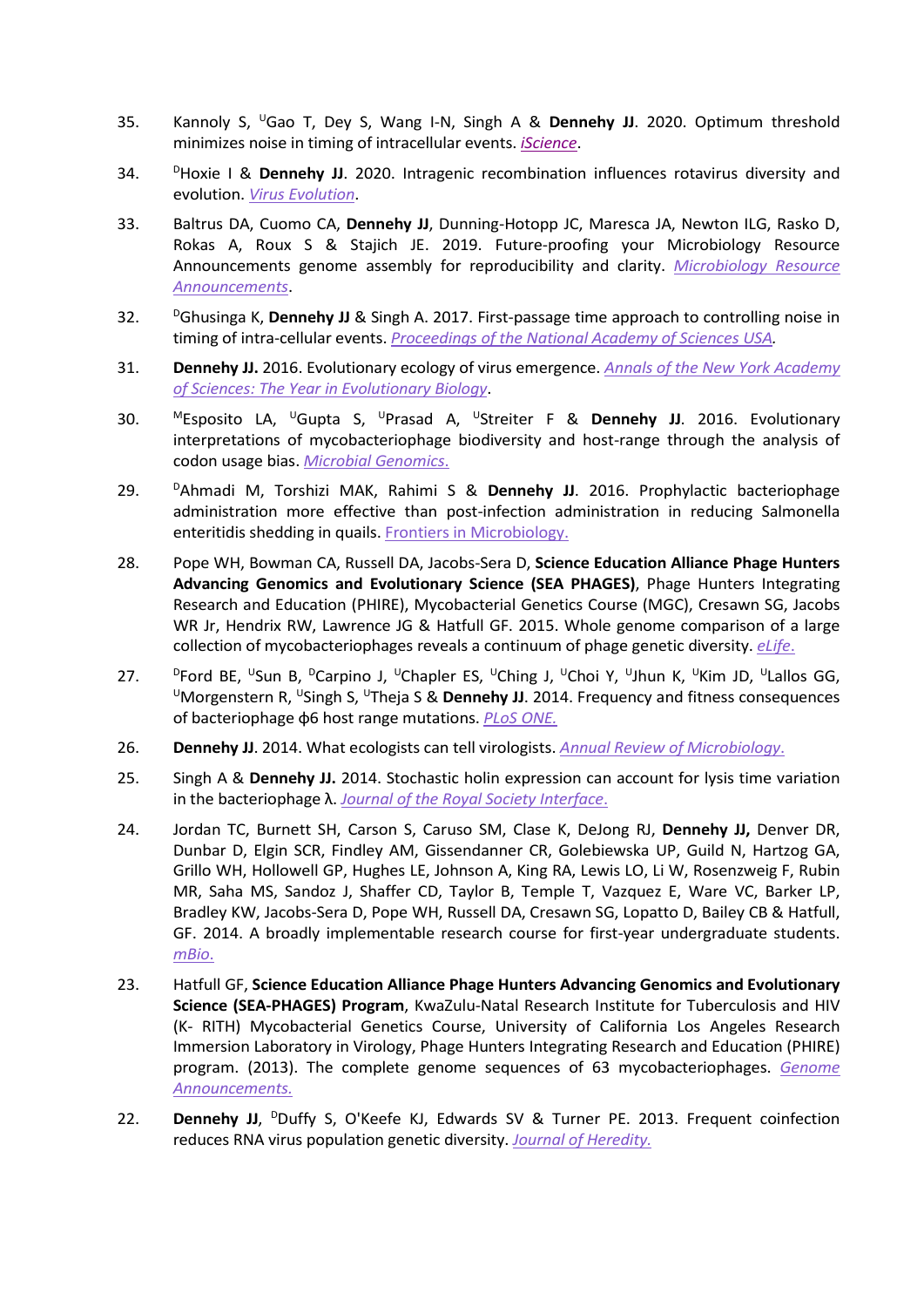- 35. Kannoly S, UGao T, Dey S, Wang I-N, Singh A & **Dennehy JJ**. 2020. Optimum threshold minimizes noise in timing of intracellular events. *[iScience](https://www.sciencedirect.com/science/article/pii/S2589004220303710)*.
- 34. DHoxie I & **Dennehy JJ**. 2020. Intragenic recombination influences rotavirus diversity and evolution. *[Virus Evolution](https://doi.org/10.1093/ve/vez059)*.
- 33. Baltrus DA, Cuomo CA, **Dennehy JJ**, Dunning-Hotopp JC, Maresca JA, Newton ILG, Rasko D, Rokas A, Roux S & Stajich JE. 2019. Future-proofing your Microbiology Resource Announcements genome assembly for reproducibility and clarity. *[Microbiology Resource](https://mra.asm.org/content/8/36/e00954-19)  [Announcements](https://mra.asm.org/content/8/36/e00954-19)*.
- 32. DGhusinga K, **Dennehy JJ** & Singh A. 2017. First-passage time approach to controlling noise in timing of intra-cellular events. *[Proceedings of the National Academy of Sciences USA.](https://www.pnas.org/content/114/4/693)*
- 31. **Dennehy JJ.** 2016. Evolutionary ecology of virus emergence. *[Annals of the New York Academy](https://nyaspubs.onlinelibrary.wiley.com/doi/full/10.1111/nyas.13304)  [of Sciences: The Year in Evolutionary Biology](https://nyaspubs.onlinelibrary.wiley.com/doi/full/10.1111/nyas.13304)*.
- 30. MEsposito LA, UGupta S, UPrasad A, UStreiter F & **Dennehy JJ**. 2016. Evolutionary interpretations of mycobacteriophage biodiversity and host-range through the analysis of codon usage bias. *[Microbial Genomics](http://mgen.microbiologyresearch.org/content/journal/mgen/10.1099/mgen.0.000079)*.
- 29. DAhmadi M, Torshizi MAK, Rahimi S & **Dennehy JJ**. 2016. Prophylactic bacteriophage administration more effective than post-infection administration in reducing Salmonella enteritidis shedding in quails. [Frontiers in Microbiology.](http://dx.doi.org/10.3389/fmicb.2016.01253)
- 28. Pope WH, Bowman CA, Russell DA, Jacobs-Sera D, **Science Education Alliance Phage Hunters Advancing Genomics and Evolutionary Science (SEA PHAGES)**, Phage Hunters Integrating Research and Education (PHIRE), Mycobacterial Genetics Course (MGC), Cresawn SG, Jacobs WR Jr, Hendrix RW, Lawrence JG & Hatfull GF. 2015. Whole genome comparison of a large collection of mycobacteriophages reveals a continuum of phage genetic diversity. *[eLife](http://elifesciences.org/content/4/e06416)*.
- <sup>D</sup>Ford BE, <sup>U</sup>Sun B, <sup>D</sup>Carpino J, <sup>U</sup>Chapler ES, <sup>U</sup>Ching J, <sup>U</sup>Choi Y, <sup>U</sup>Jhun K, <sup>U</sup>Kim JD, <sup>U</sup>Lallos GG, UNOrgenstern R, USingh S, <sup>U</sup>Theja S & **Dennehy JJ**. 2014. Frequency and fitness consequences of bacteriophage φ6 host range mutations. *[PLoS ONE.](https://www.ncbi.nlm.nih.gov/pmc/articles/PMC4237377/)*
- 26. **Dennehy JJ**. 2014. What ecologists can tell virologists. *[Annual Review of Microbiology](https://www.annualreviews.org/doi/full/10.1146/annurev-micro-091313-103436)*.
- 25. Singh A & **Dennehy JJ.** 2014. Stochastic holin expression can account for lysis time variation in the bacteriophage λ. *[Journal of the Royal Society Interface](https://royalsocietypublishing.org/doi/10.1098/rsif.2014.0140)*.
- 24. Jordan TC, Burnett SH, Carson S, Caruso SM, Clase K, DeJong RJ, **Dennehy JJ,** Denver DR, Dunbar D, Elgin SCR, Findley AM, Gissendanner CR, Golebiewska UP, Guild N, Hartzog GA, Grillo WH, Hollowell GP, Hughes LE, Johnson A, King RA, Lewis LO, Li W, Rosenzweig F, Rubin MR, Saha MS, Sandoz J, Shaffer CD, Taylor B, Temple T, Vazquez E, Ware VC, Barker LP, Bradley KW, Jacobs-Sera D, Pope WH, Russell DA, Cresawn SG, Lopatto D, Bailey CB & Hatfull, GF. 2014. A broadly implementable research course for first-year undergraduate students. *[mBio](http://mbio.asm.org/content/5/1/e01051-13)*.
- 23. Hatfull GF, **Science Education Alliance Phage Hunters Advancing Genomics and Evolutionary Science (SEA-PHAGES) Program**, KwaZulu-Natal Research Institute for Tuberculosis and HIV (K- RITH) Mycobacterial Genetics Course, University of California Los Angeles Research Immersion Laboratory in Virology, Phage Hunters Integrating Research and Education (PHIRE) program. (2013). The complete genome sequences of 63 mycobacteriophages. *[Genome](http://genomea.asm.org/content/1/6/e00847-13.long)  [Announcements.](http://genomea.asm.org/content/1/6/e00847-13.long)*
- 22. **Dennehy JJ, <sup>D</sup>Duffy S, O'Keefe KJ, Edwards SV & Turner PE. 2013. Frequent coinfection** reduces RNA virus population genetic diversity. *[Journal of Heredity.](https://academic.oup.com/jhered/article/104/5/704/905473)*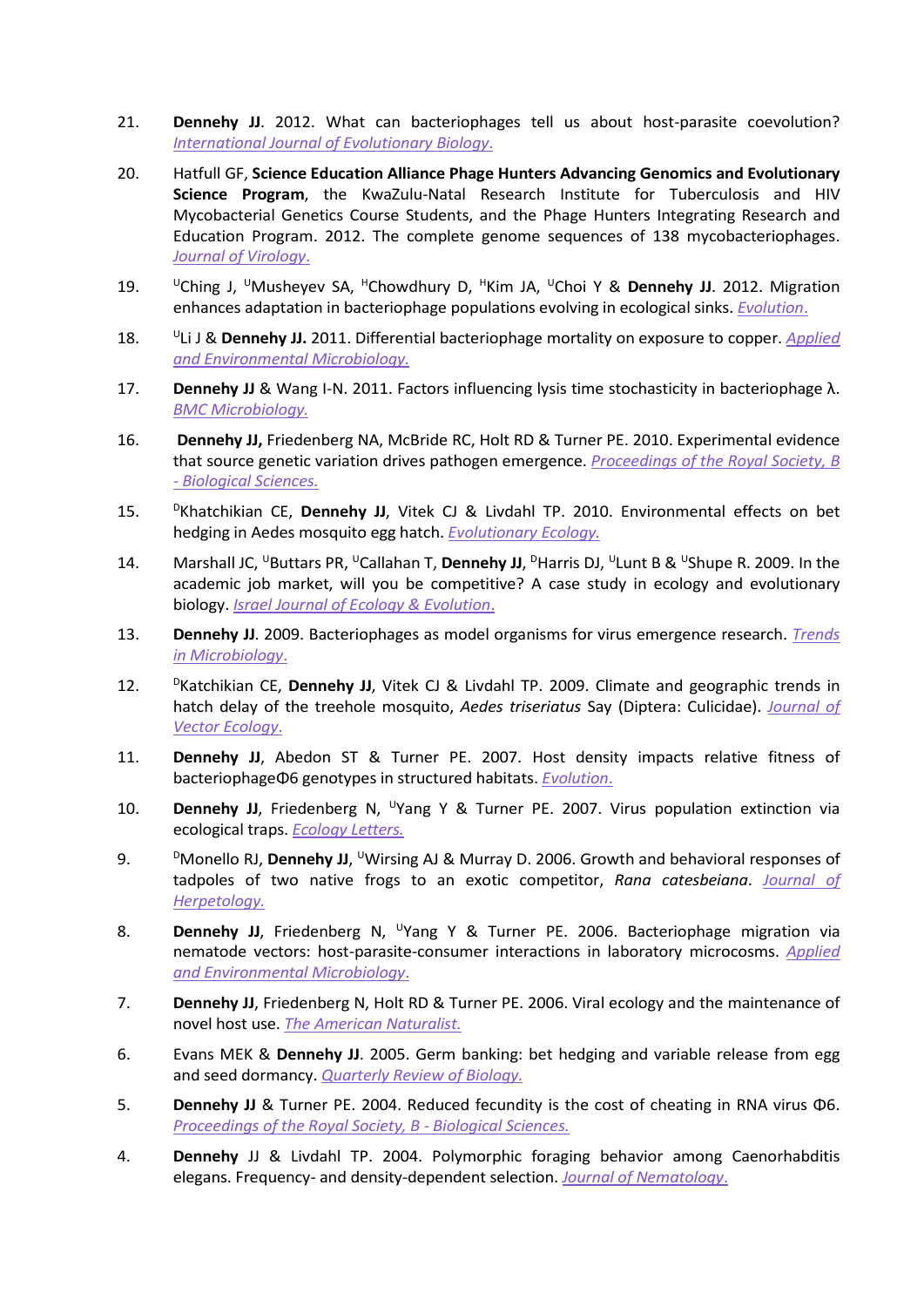- 21. **Dennehy JJ**. 2012. What can bacteriophages tell us about host-parasite coevolution? *[International Journal of Evolutionary Biology](http://www.hindawi.com/journals/ijeb/2012/396165/)*.
- 20. Hatfull GF, **Science Education Alliance Phage Hunters Advancing Genomics and Evolutionary Science Program**, the KwaZulu-Natal Research Institute for Tuberculosis and HIV Mycobacterial Genetics Course Students, and the Phage Hunters Integrating Research and Education Program. 2012. The complete genome sequences of 138 mycobacteriophages. *[Journal of Virology](http://jvi.asm.org/content/86/4/2382.full.pdf%2Bhtml?sid=df185df9-2c4b-49a8-86b6-cab3a979583b)*.
- 19. UChing J, UMusheyev SA, HChowdhury D, HKim JA, UChoi Y & **Dennehy JJ**. 2012. Migration enhances adaptation in bacteriophage populations evolving in ecological sinks. *[Evolution](http://onlinelibrary.wiley.com/doi/10.1111/j.1558-5646.2012.01742.x/pdf)*.
- 18. ULi J & **Dennehy JJ.** 2011. Differential bacteriophage mortality on exposure to copper. *[Applied](http://aem.asm.org/cgi/content/abstract/AEM.05661-11v1)  [and Environmental Microbiology.](http://aem.asm.org/cgi/content/abstract/AEM.05661-11v1)*
- 17. **Dennehy JJ** & Wang I-N. 2011. Factors influencing lysis time stochasticity in bacteriophage λ. *[BMC Microbiology.](http://www.biomedcentral.com/1471-2180/11/174)*
- 16. **Dennehy JJ,** Friedenberg NA, McBride RC, Holt RD & Turner PE. 2010. Experimental evidence that source genetic variation drives pathogen emergence. *[Proceedings of the Royal Society, B](http://rspb.royalsocietypublishing.org/content/early/2010/05/18/rspb.2010.0342.full.pdf%2Bhtml)  - [Biological Sciences.](http://rspb.royalsocietypublishing.org/content/early/2010/05/18/rspb.2010.0342.full.pdf%2Bhtml)*
- 15. DKhatchikian CE, **Dennehy JJ**, Vitek CJ & Livdahl TP. 2010. Environmental effects on bet hedging in Aedes mosquito egg hatch. *[Evolutionary Ecology.](https://link.springer.com/article/10.1007/s10682-010-9359-4)*
- 14. Marshall JC, <sup>U</sup>Buttars PR, <sup>U</sup>Callahan T, Dennehy JJ, <sup>D</sup>Harris DJ, <sup>U</sup>Lunt B & <sup>U</sup>Shupe R. 2009. In the academic job market, will you be competitive? A case study in ecology and evolutionary biology. *[Israel Journal of Ecology & Evolution](http://www.sciencefromisrael.com/app/home/contribution.asp?referrer=parent&backto=issue%2C7%2C7%3Bjournal%2C2%2C14%3Bhomemainpublications%2C2%2C5%3B)*.
- 13. **Dennehy JJ**. 2009. Bacteriophages as model organisms for virus emergence research. *[Trends](https://www.cell.com/trends/microbiology/fulltext/S0966-842X(09)00161-9)  [in Microbiology](https://www.cell.com/trends/microbiology/fulltext/S0966-842X(09)00161-9)*.
- 12. **DKatchikian CE, Dennehy JJ, Vitek CJ & Livdahl TP. 2009. Climate and geographic trends in** hatch delay of the treehole mosquito, *Aedes triseriatus* Say (Diptera: Culicidae). *[Journal of](https://onlinelibrary.wiley.com/doi/full/10.1111/j.1948-7134.2009.00015.x)  [Vector Ecology](https://onlinelibrary.wiley.com/doi/full/10.1111/j.1948-7134.2009.00015.x)*.
- 11. **Dennehy JJ**, Abedon ST & Turner PE. 2007. Host density impacts relative fitness of bacteriophageΦ6 genotypes in structured habitats. *[Evolution](https://bioone.org/journals/evolution/volume-61/issue-11/j.1558-5646.2007.00205.x/HOST-DENSITY-IMPACTS-RELATIVE-FITNESS-OF-BACTERIOPHAGE-%CE%A66-GENOTYPES-IN/10.1111/j.1558-5646.2007.00205.x.full)*.
- 10. **Dennehy JJ**, Friedenberg N, <sup>U</sup>Yang Y & Turner PE. 2007. Virus population extinction via ecological traps. *[Ecology Letters.](https://onlinelibrary.wiley.com/doi/10.1111/j.1461-0248.2006.01013.x)*
- 9. DMonello RJ, **Dennehy JJ**, <sup>U</sup>Wirsing AJ & Murray D. 2006. Growth and behavioral responses of tadpoles of two native frogs to an exotic competitor, *Rana catesbeiana*. *[Journal](https://bioone.org/journals/journal-of-herpetology/volume-40/issue-3/0022-1511(2006)40%5B403%3AGABROT%5D2.0.CO%3B2/Growth-and-Behavioral-Responses-of-Tadpoles-of-Two-Native-Frogs/10.1670/0022-1511(2006)40%5b403:GABROT%5d2.0.CO;2.short) of [Herpetology.](https://bioone.org/journals/journal-of-herpetology/volume-40/issue-3/0022-1511(2006)40%5B403%3AGABROT%5D2.0.CO%3B2/Growth-and-Behavioral-Responses-of-Tadpoles-of-Two-Native-Frogs/10.1670/0022-1511(2006)40%5b403:GABROT%5d2.0.CO;2.short)*
- 8. **Dennehy JJ**, Friedenberg N, <sup>U</sup>Yang Y & Turner PE. 2006. Bacteriophage migration via nematode vectors: host-parasite-consumer interactions in laboratory microcosms. *[Applied](https://www.ncbi.nlm.nih.gov/pmc/articles/PMC1393236/)  [and Environmental Microbiology](https://www.ncbi.nlm.nih.gov/pmc/articles/PMC1393236/)*.
- 7. **Dennehy JJ**, Friedenberg N, Holt RD & Turner PE. 2006. Viral ecology and the maintenance of novel host use. *[The American Naturalist.](https://www.journals.uchicago.edu/doi/abs/10.1086/499381?journalCode=an)*
- 6. Evans MEK & **Dennehy JJ**. 2005. Germ banking: bet hedging and variable release from egg and seed dormancy. *[Quarterly Review of Biology.](https://www.journals.uchicago.edu/doi/10.1086/498282)*
- 5. **Dennehy JJ** & Turner PE. 2004. Reduced fecundity is the cost of cheating in RNA virus Φ6. *[Proceedings of the Royal Society, B -](https://www.ncbi.nlm.nih.gov/pmc/articles/PMC1691856/) Biological Sciences.*
- 4. **Dennehy** JJ & Livdahl TP. 2004. Polymorphic foraging behavior among Caenorhabditis elegans. Frequency- and density-dependent selection. *[Journal of Nematology](https://www.ncbi.nlm.nih.gov/pmc/articles/PMC2620782/)*.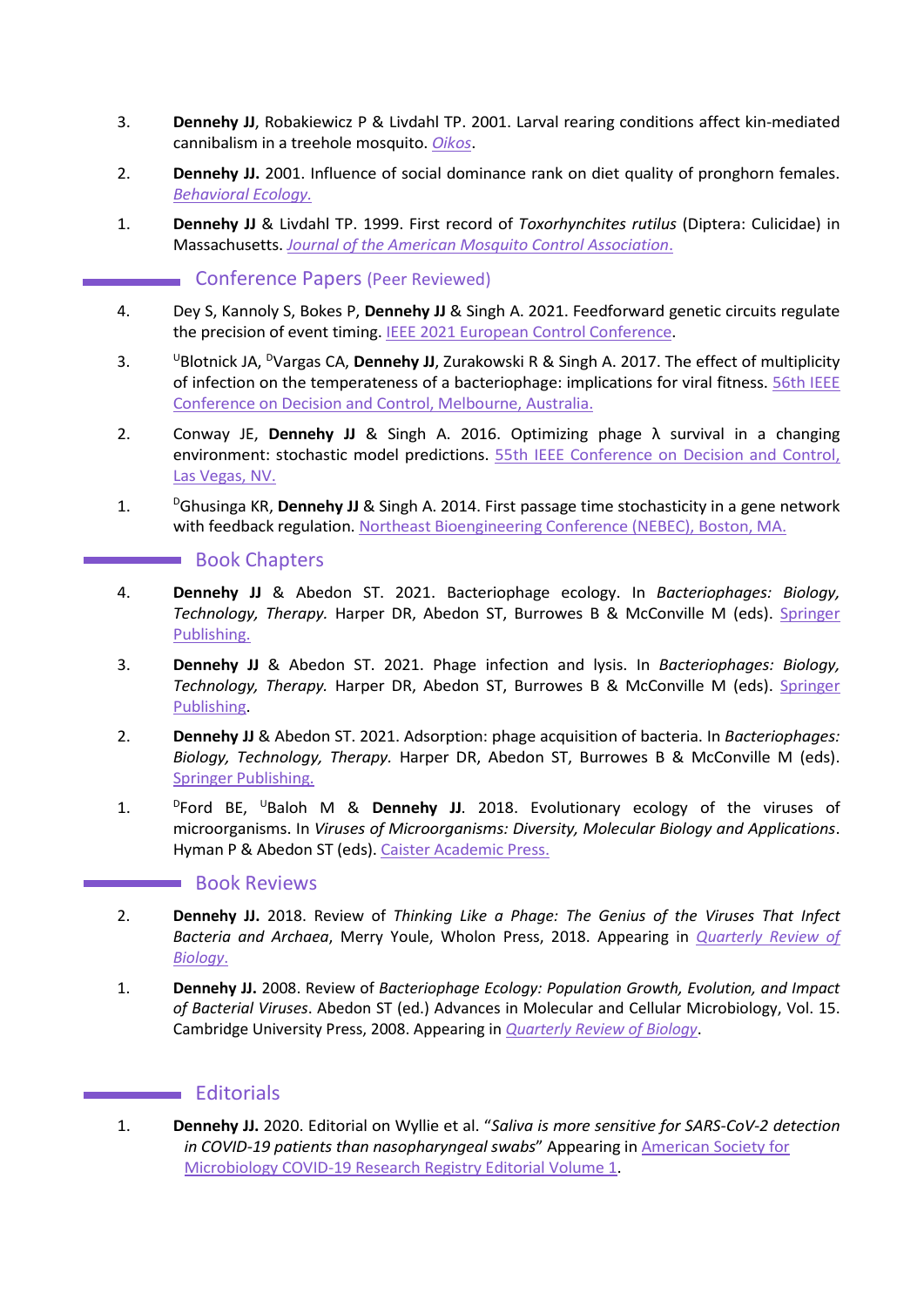- 3. **Dennehy JJ**, Robakiewicz P & Livdahl TP. 2001. Larval rearing conditions affect kin-mediated cannibalism in a treehole mosquito. *[Oikos](https://www.jstor.org/stable/3547379?seq=1)*.
- 2. **Dennehy JJ.** 2001. Influence of social dominance rank on diet quality of pronghorn females. *[Behavioral Ecology.](https://academic.oup.com/beheco/article/12/2/177/240020)*
- 1. **Dennehy JJ** & Livdahl TP. 1999. First record of *Toxorhynchites rutilus* (Diptera: Culicidae) in Massachusetts. *[Journal of the American Mosquito Control Association](https://www.biodiversitylibrary.org/content/part/JAMCA/JAMCA_V15_N3_P423-424.pdf)*.

# Conference Papers (Peer Reviewed)

- 4. Dey S, Kannoly S, Bokes P, **Dennehy JJ** & Singh A. 2021. Feedforward genetic circuits regulate the precision of event timing. **IEEE 2021 European Control Conference**.
- 3. UBlotnick JA, <sup>D</sup>Vargas CA, **Dennehy JJ**, Zurakowski R & Singh A. 2017. The effect of multiplicity of infection on the temperateness of a bacteriophage: implications for viral fitness. [56th IEEE](https://cpb-us-w2.wpmucdn.com/sites.udel.edu/dist/f/1313/files/2018/02/08263885-1j351hb.pdf)  [Conference on Decision and Control, Melbourne, Australia.](https://cpb-us-w2.wpmucdn.com/sites.udel.edu/dist/f/1313/files/2018/02/08263885-1j351hb.pdf)
- 2. Conway JE, **Dennehy JJ** & Singh A. 2016. Optimizing phage λ survival in a changing environment: stochastic model predictions. [55th IEEE Conference on Decision and Control,](https://dennehylab.org/pw/c0nt3nt/uploads/2014/03/2016-Conway-et-al.-IEEE-DC.pdf)  [Las Vegas, NV.](https://dennehylab.org/pw/c0nt3nt/uploads/2014/03/2016-Conway-et-al.-IEEE-DC.pdf)
- 1. DGhusinga KR, **Dennehy JJ** & Singh A. 2014. First passage time stochasticity in a gene network with feedback regulation. [Northeast Bioengineering Conference \(NEBEC\), Boston, MA.](https://ieeexplore.ieee.org/document/6972797)

# **Book Chapters**

- 4. **Dennehy JJ** & Abedon ST. 2021. Bacteriophage ecology. In *Bacteriophages: Biology, Technology, Therapy.* Harper DR, Abedon ST, Burrowes B & McConville M (eds). [Springer](https://www.springer.com/gp/book/9783319419855#aboutAuthors)  [Publishing.](https://www.springer.com/gp/book/9783319419855#aboutAuthors)
- 3. **Dennehy JJ** & Abedon ST. 2021. Phage infection and lysis. In *Bacteriophages: Biology, Technology, Therapy.* Harper DR, Abedon ST, Burrowes B & McConville M (eds). [Springer](https://www.springer.com/gp/book/9783319419855#aboutAuthors)  [Publishing.](https://www.springer.com/gp/book/9783319419855#aboutAuthors)
- 2. **Dennehy JJ** & Abedon ST. 2021. Adsorption: phage acquisition of bacteria. In *Bacteriophages: Biology, Technology, Therapy.* Harper DR, Abedon ST, Burrowes B & McConville M (eds). [Springer Publishing.](https://www.springer.com/gp/book/9783319419855#aboutAuthors)
- 1. DFord BE, UBaloh M & **Dennehy JJ**. 2018. Evolutionary ecology of the viruses of microorganisms. In *Viruses of Microorganisms: Diversity, Molecular Biology and Applications*. Hyman P & Abedon ST (eds)[. Caister Academic Press.](https://www.caister.com/vom)

#### **Book Reviews**

- 2. **Dennehy JJ.** 2018. Review of *Thinking Like a Phage: The Genius of the Viruses That Infect Bacteria and Archaea*, Merry Youle, Wholon Press, 2018. Appearing in *[Quarterly Review of](https://www.journals.uchicago.edu/doi/full/10.1086/698086)  [Biology](https://www.journals.uchicago.edu/doi/full/10.1086/698086)*.
- 1. **Dennehy JJ.** 2008. Review of *Bacteriophage Ecology: Population Growth, Evolution, and Impact of Bacterial Viruses*. Abedon ST (ed.) Advances in Molecular and Cellular Microbiology, Vol. 15. Cambridge University Press, 2008. Appearing in *[Quarterly Review of Biology](https://www.journals.uchicago.edu/doi/full/10.1086/650260)*.

# **Editorials**

1. **Dennehy JJ.** 2020. Editorial on Wyllie et al. "*Saliva is more sensitive for SARS-CoV-2 detection in COVID-19 patients than nasopharyngeal swabs*" Appearing i[n American Society for](https://asm.org/COVID/COVID-19-Research-Registry/Home/Letters) [Microbiology COVID-19 Research Registry Editorial Volume 1.](https://asm.org/COVID/COVID-19-Research-Registry/Home/Letters)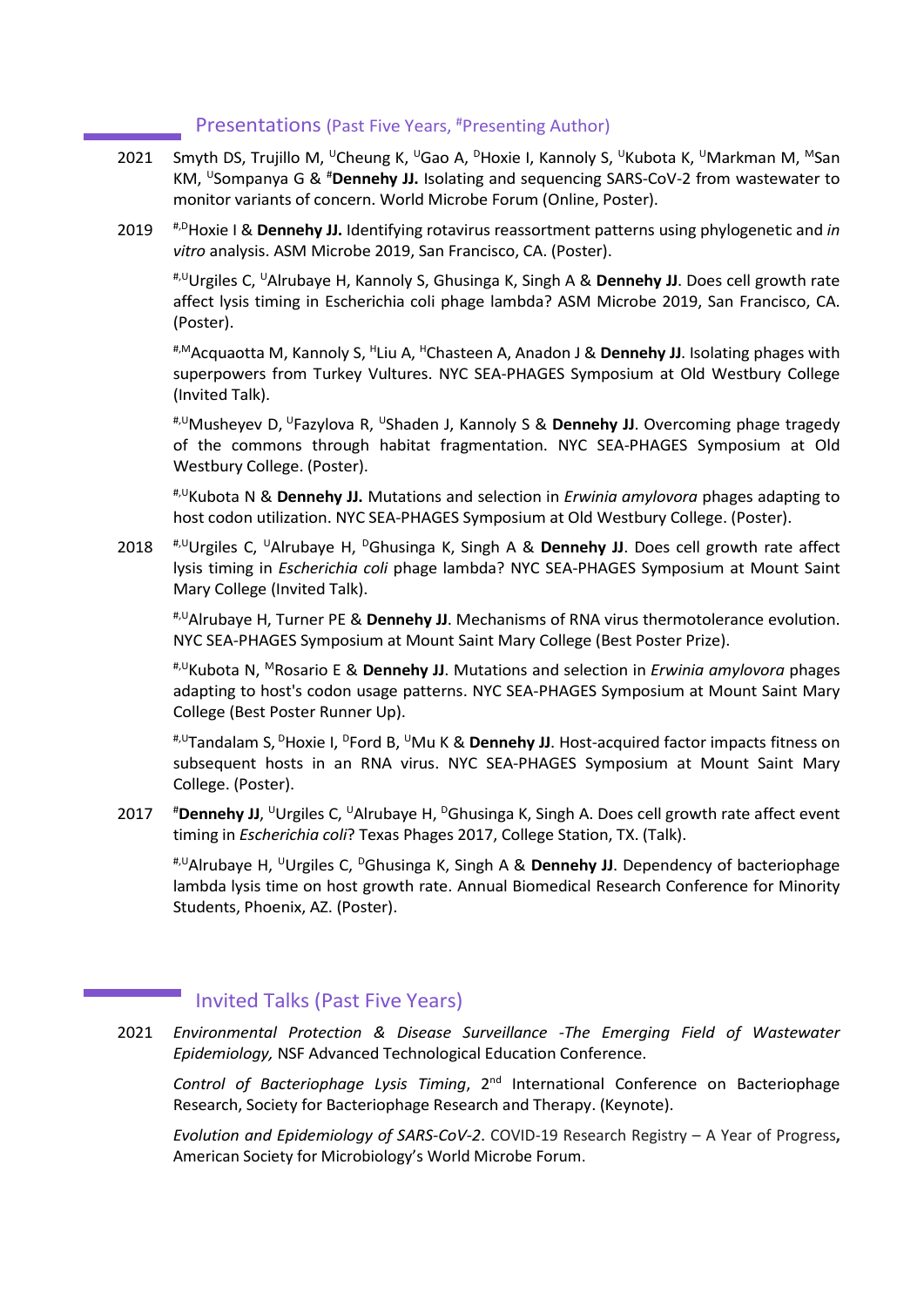# Presentations (Past Five Years, #Presenting Author)

- 2021 Smyth DS, Trujillo M, <sup>U</sup>Cheung K, <sup>U</sup>Gao A, <sup>D</sup>Hoxie I, Kannoly S, <sup>U</sup>Kubota K, <sup>U</sup>Markman M, <sup>M</sup>San KM, <sup>U</sup>Sompanya G & <sup>#</sup>Dennehy JJ. Isolating and sequencing SARS-CoV-2 from wastewater to monitor variants of concern. World Microbe Forum (Online, Poster).
- 2019 #,DHoxie I & **Dennehy JJ.** Identifying rotavirus reassortment patterns using phylogenetic and *in vitro* analysis. ASM Microbe 2019, San Francisco, CA. (Poster).

#,UUrgiles C, UAlrubaye H, Kannoly S, Ghusinga K, Singh A & **Dennehy JJ**. Does cell growth rate affect lysis timing in Escherichia coli phage lambda? ASM Microbe 2019, San Francisco, CA. (Poster).

#,MAcquaotta M, Kannoly S, HLiu A, HChasteen A, Anadon J & **Dennehy JJ**. Isolating phages with superpowers from Turkey Vultures. NYC SEA-PHAGES Symposium at Old Westbury College (Invited Talk).

#,UMusheyev D, UFazylova R, UShaden J, Kannoly S & **Dennehy JJ**. Overcoming phage tragedy of the commons through habitat fragmentation. NYC SEA-PHAGES Symposium at Old Westbury College. (Poster).

#,UKubota N & **Dennehy JJ.** Mutations and selection in *Erwinia amylovora* phages adapting to host codon utilization. NYC SEA-PHAGES Symposium at Old Westbury College. (Poster).

2018 <sup>#, U</sup>Urgiles C, <sup>U</sup>Alrubaye H, <sup>D</sup>Ghusinga K, Singh A & **Dennehy JJ**. Does cell growth rate affect lysis timing in *Escherichia coli* phage lambda? NYC SEA-PHAGES Symposium at Mount Saint Mary College (Invited Talk).

#,UAlrubaye H, Turner PE & **Dennehy JJ**. Mechanisms of RNA virus thermotolerance evolution. NYC SEA-PHAGES Symposium at Mount Saint Mary College (Best Poster Prize).

#,UKubota N, MRosario E & **Dennehy JJ**. Mutations and selection in *Erwinia amylovora* phages adapting to host's codon usage patterns. NYC SEA-PHAGES Symposium at Mount Saint Mary College (Best Poster Runner Up).

#,UTandalam S, DHoxie I, DFord B, UMu K & **Dennehy JJ**. Host-acquired factor impacts fitness on subsequent hosts in an RNA virus. NYC SEA-PHAGES Symposium at Mount Saint Mary College. (Poster).

2017 <sup>#</sup>Dennehy JJ, <sup>U</sup>Urgiles C, <sup>U</sup>Alrubaye H, <sup>D</sup>Ghusinga K, Singh A. Does cell growth rate affect event timing in *Escherichia coli*? Texas Phages 2017, College Station, TX. (Talk).

#,UAlrubaye H, UUrgiles C, DGhusinga K, Singh A & **Dennehy JJ**. Dependency of bacteriophage lambda lysis time on host growth rate. Annual Biomedical Research Conference for Minority Students, Phoenix, AZ. (Poster).

# Invited Talks (Past Five Years)

2021 *Environmental Protection & Disease Surveillance -The Emerging Field of Wastewater Epidemiology,* NSF Advanced Technological Education Conference.

*Control of Bacteriophage Lysis Timing*, 2nd International Conference on Bacteriophage Research, Society for Bacteriophage Research and Therapy. (Keynote).

*Evolution and Epidemiology of SARS-CoV-2*. COVID-19 Research Registry – A Year of Progress**,** American Society for Microbiology's World Microbe Forum.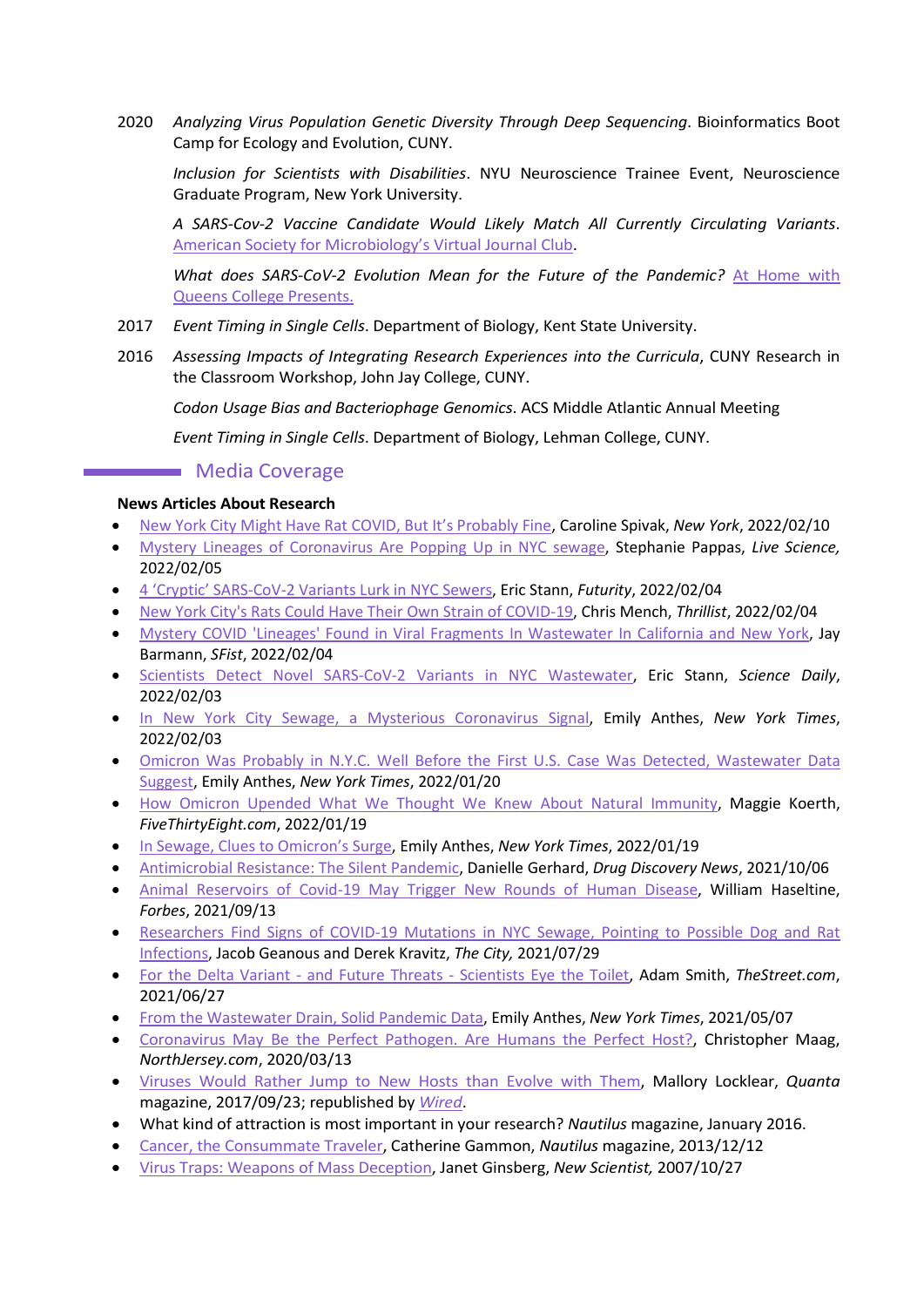2020 *Analyzing Virus Population Genetic Diversity Through Deep Sequencing*. Bioinformatics Boot Camp for Ecology and Evolution, CUNY.

*Inclusion for Scientists with Disabilities*. NYU Neuroscience Trainee Event, Neuroscience Graduate Program, New York University.

*A SARS-Cov-2 Vaccine Candidate Would Likely Match All Currently Circulating Variants*. [American Society for Microbiology's Virtual Journal Club.](https://asm.org/Webinars/COVID-19-Research-Registry-Virtual-Journal-Club-Ar)

*What does SARS-CoV-2 Evolution Mean for the Future of the Pandemic?* [At Home with](https://youtu.be/TFXTE8EK-1M)  [Queens College Presents.](https://youtu.be/TFXTE8EK-1M)

- 2017 *Event Timing in Single Cells*. Department of Biology, Kent State University.
- 2016 *Assessing Impacts of Integrating Research Experiences into the Curricula*, CUNY Research in the Classroom Workshop, John Jay College, CUNY.

*Codon Usage Bias and Bacteriophage Genomics*. ACS Middle Atlantic Annual Meeting

*Event Timing in Single Cells*. Department of Biology, Lehman College, CUNY.

# **Media Coverage**

#### **News Articles About Research**

- [New York City Might Have Rat COVID, But It's Probably Fine,](https://www.curbed.com/2022/02/new-york-city-rat-covid-research.html) Caroline Spivak, *New York*, 2022/02/10
- Mystery [Lineages of Coronavirus Are Popping Up in NYC sewage,](https://www.livescience.com/mystery-lineages-coronavirus-new-york-sewers) Stephanie Pappas, *Live Science,* 2022/02/05
- [4 'Cryptic' SARS-CoV-2 Variants Lurk in](https://www.futurity.org/sars-cov-2-variants-wastewater-sewers-2692382/) NYC Sewers, Eric Stann, *Futurity*, 2022/02/04
- [New York City's Rats Could Have Their Own Strain of COVID-19,](https://www.thrillist.com/news/new-york/nyc-rats-developed-their-own-covid-strain) Chris Mench, *Thrillist*, 2022/02/04
- Mystery COVID 'Lineages' Found in [Viral Fragments In Wastewater In California and New York,](https://sfist.com/2022/02/03/mystery-covid-lineages-found-in-viral-fragments-in-wastewater/) Jay Barmann, *SFist*, 2022/02/04
- [Scientists Detect Novel SARS-CoV-2 Variants in NYC Wastewater,](https://www.sciencedaily.com/releases/2022/02/220203122941.htm) Eric Stann, *Science Daily*, 2022/02/03
- [In New York City Sewage, a Mysterious Coronavirus Signal,](https://www.nytimes.com/2022/02/03/health/coronavirus-wastewater-new-york.html?smid=url-share) Emily Anthes, *New York Times*, 2022/02/03
- [Omicron Was Probably in N.Y.C. Well Before the First U.S. Case Was Detected, Wastewater Data](https://www.nytimes.com/2022/01/20/health/nyc-omicron-wasteweater.html)  [Suggest,](https://www.nytimes.com/2022/01/20/health/nyc-omicron-wasteweater.html) Emily Anthes, *New York Times*, 2022/01/20
- [How Omicron Upended What We Thought We Knew About Natural Immunity,](https://fivethirtyeight.com/features/how-omicron-upended-what-we-thought-we-knew-about-natural-immunity/) Maggie Koerth, *FiveThirtyEight.com*, 2022/01/19
- [In Sewage, Clues to Omicron's Surge,](https://www.nytimes.com/2022/01/19/health/covid-omicron-wastewater-sewage.html) Emily Anthes, *New York Times*, 2022/01/19
- [Antimicrobial Resistance: The Silent Pandemic,](https://www.drugdiscoverynews.com/antimicrobial-resistance-the-silent-pandemic-15271) Danielle Gerhard, *Drug Discovery News*, 2021/10/06
- [Animal Reservoirs of Covid-19 May Trigger New Rounds of Human Disease,](https://www.forbes.com/sites/williamhaseltine/2021/09/13/animal-reservoirs-of-covid-19-may-trigger-new-rounds-of-human-disease/) William Haseltine, *Forbes*, 2021/09/13
- [Researchers Find Signs of COVID-19 Mutations in NYC Sewage, Pointing to Possible Dog and Rat](https://www.thecity.nyc/2021/7/29/22600656/covid-mutations-in-new-york-city-sewage-possible-dog-rat)  [Infections,](https://www.thecity.nyc/2021/7/29/22600656/covid-mutations-in-new-york-city-sewage-possible-dog-rat) Jacob Geanous and Derek Kravitz, *The City,* 2021/07/29
- For the Delta Variant and Future Threats [Scientists Eye the Toilet,](https://www.thestreet.com/latest-news/to-spot-the-delta-variant-and-future-outbreaks-look-in-the-toilet) Adam Smith, *TheStreet.com*, 2021/06/27
- [From the Wastewater Drain, Solid Pandemic Data,](https://www.nytimes.com/2021/05/07/health/coronavirus-sewage.html) Emily Anthes, *New York Times*, 2021/05/07
- [Coronavirus May Be the Perfect Pathogen. Are Humans the Perfect Host?,](https://www.northjersey.com/story/news/columnists/christopher-maag/2020/03/13/coronavirus-perfect-virus-but-humans-perfect-hosts/4965179002/) Christopher Maag, *NorthJersey.com*, 2020/03/13
- [Viruses Would Rather Jump to New Hosts than Evolve with Them,](https://www.quantamagazine.org/viruses-would-rather-jump-to-new-hosts-than-evolve-with-them-20170913/) Mallory Locklear, *Quanta* magazine, 2017/09/23; republished by *[Wired](https://www.wired.com/story/dont-blame-pigs-for-swine-fluspecies-hopping-is-how-viruses-evolve/)*.
- What kind of attraction is most important in your research? *Nautilus* magazine, January 2016.
- [Cancer, the Consummate Traveler,](http://nautil.us/issue/8/home/cancer-the-consummate-traveler) Catherine Gammon, *Nautilus* magazine, 2013/12/12
- [Virus Traps: Weapons of Mass Deception,](https://www.newscientist.com/article/mg19626261-600-virus-traps-weapons-of-mass-deception/?ignored=irrelevant) Janet Ginsberg, *New Scientist,* 2007/10/27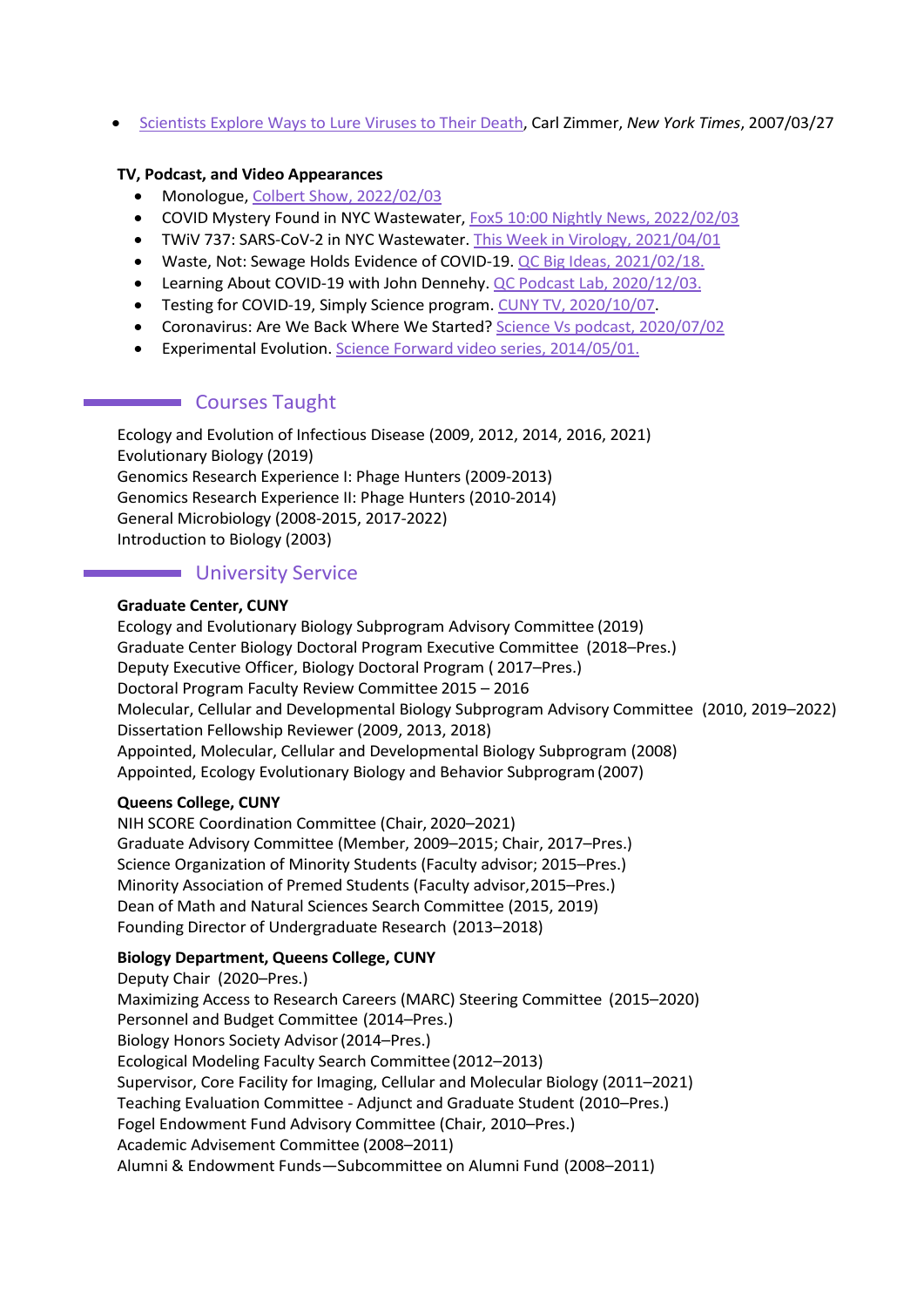• [Scientists Explore Ways to Lure Viruses to Their Death,](https://www.nytimes.com/2007/03/27/science/27viral.html) Carl Zimmer, *New York Times*, 2007/03/27

### **TV, Podcast, and Video Appearances**

- Monologue, [Colbert Show, 2022/02/03](https://www.loom.com/share/12d27c3887d64892940fdfb839801194)
- COVID Mystery Found in NYC Wastewater, [Fox5 10:00 Nightly News, 2022/02/03](https://www.fox5ny.com/news/covid-mystery-found-in-nyc-wastewater)
- TWiV 737: SARS-CoV-2 in NYC Wastewater. [This Week in Virology, 2021/04/01](https://www.microbe.tv/twiv/twiv-737/)
- Waste, Not: Sewage Holds Evidence of COVID-19. [QC Big Ideas,](https://www.youtube.com/watch?v=oylcZjQg3GM&t=91s&ab_channel=QueensCollege) 2021/02/18.
- Learning About COVID-19 with John Dennehy. [QC Podcast Lab,](https://queenspodcastlab.org/podcast/learning-about-covid19-with-john-dennehy/) 2020/12/03.
- Testing for COVID-19, Simply Science program. [CUNY TV, 2020/10/07.](https://tv.cuny.edu/show/simplyscience/PR2009652)
- Coronavirus: Are We Back Where We Started? [Science Vs podcast, 2020/07/02](https://gimletmedia.com/shows/science-vs/brhvegg/coronavirus-are-we-back-where-we-started)
- Experimental Evolution[. Science Forward video series, 2014/05/01.](https://eportfolios.macaulay.cuny.edu/science-forward/video-evolution/)

# **Courses Taught**

Ecology and Evolution of Infectious Disease (2009, 2012, 2014, 2016, 2021) Evolutionary Biology (2019) Genomics Research Experience I: Phage Hunters (2009-2013) Genomics Research Experience II: Phage Hunters (2010-2014) General Microbiology (2008-2015, 2017-2022) Introduction to Biology (2003)

# **University Service**

#### **Graduate Center, CUNY**

Ecology and Evolutionary Biology Subprogram Advisory Committee (2019) Graduate Center Biology Doctoral Program Executive Committee (2018–Pres.) Deputy Executive Officer, Biology Doctoral Program ( 2017–Pres.) Doctoral Program Faculty Review Committee 2015 – 2016 Molecular, Cellular and Developmental Biology Subprogram Advisory Committee (2010, 2019–2022) Dissertation Fellowship Reviewer (2009, 2013, 2018) Appointed, Molecular, Cellular and Developmental Biology Subprogram (2008) Appointed, Ecology Evolutionary Biology and Behavior Subprogram(2007)

#### **Queens College, CUNY**

NIH SCORE Coordination Committee (Chair, 2020–2021) Graduate Advisory Committee (Member, 2009–2015; Chair, 2017–Pres.) Science Organization of Minority Students (Faculty advisor; 2015–Pres.) Minority Association of Premed Students (Faculty advisor,2015–Pres.) Dean of Math and Natural Sciences Search Committee (2015, 2019) Founding Director of Undergraduate Research (2013–2018)

# **Biology Department, Queens College, CUNY**

Deputy Chair (2020–Pres.) Maximizing Access to Research Careers (MARC) Steering Committee (2015–2020) Personnel and Budget Committee (2014–Pres.) Biology Honors Society Advisor(2014–Pres.) Ecological Modeling Faculty Search Committee(2012–2013) Supervisor, Core Facility for Imaging, Cellular and Molecular Biology (2011–2021) Teaching Evaluation Committee - Adjunct and Graduate Student (2010–Pres.) Fogel Endowment Fund Advisory Committee (Chair, 2010–Pres.) Academic Advisement Committee (2008–2011) Alumni & Endowment Funds—Subcommittee on Alumni Fund (2008–2011)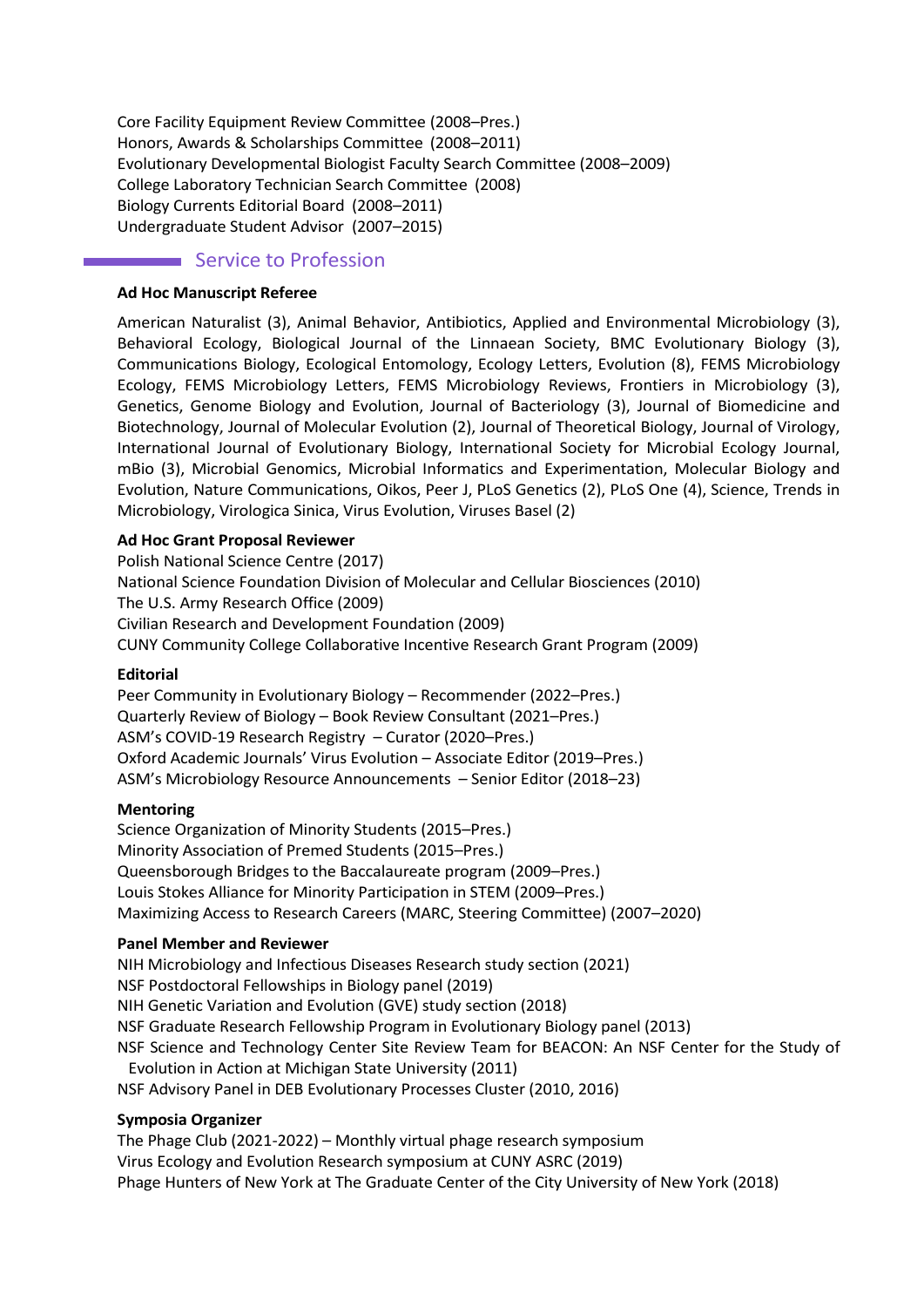Core Facility Equipment Review Committee (2008–Pres.) Honors, Awards & Scholarships Committee (2008–2011) Evolutionary Developmental Biologist Faculty Search Committee (2008–2009) College Laboratory Technician Search Committee (2008) Biology Currents Editorial Board (2008–2011) Undergraduate Student Advisor (2007–2015)

# Service to Profession

#### **Ad Hoc Manuscript Referee**

American Naturalist (3), Animal Behavior, Antibiotics, Applied and Environmental Microbiology (3), Behavioral Ecology, Biological Journal of the Linnaean Society, BMC Evolutionary Biology (3), Communications Biology, Ecological Entomology, Ecology Letters, Evolution (8), FEMS Microbiology Ecology, FEMS Microbiology Letters, FEMS Microbiology Reviews, Frontiers in Microbiology (3), Genetics, Genome Biology and Evolution, Journal of Bacteriology (3), Journal of Biomedicine and Biotechnology, Journal of Molecular Evolution (2), Journal of Theoretical Biology, Journal of Virology, International Journal of Evolutionary Biology, International Society for Microbial Ecology Journal, mBio (3), Microbial Genomics, Microbial Informatics and Experimentation, Molecular Biology and Evolution, Nature Communications, Oikos, Peer J, PLoS Genetics (2), PLoS One (4), Science, Trends in Microbiology, Virologica Sinica, Virus Evolution, Viruses Basel (2)

#### **Ad Hoc Grant Proposal Reviewer**

Polish National Science Centre (2017) National Science Foundation Division of Molecular and Cellular Biosciences (2010) The U.S. Army Research Office (2009) Civilian Research and Development Foundation (2009) CUNY Community College Collaborative Incentive Research Grant Program (2009)

#### **Editorial**

Peer Community in Evolutionary Biology – Recommender (2022–Pres.) Quarterly Review of Biology – Book Review Consultant (2021–Pres.) ASM's COVID-19 Research Registry – Curator (2020–Pres.) Oxford Academic Journals' Virus Evolution – Associate Editor (2019–Pres.) ASM's Microbiology Resource Announcements – Senior Editor (2018–23)

#### **Mentoring**

Science Organization of Minority Students (2015–Pres.) Minority Association of Premed Students (2015–Pres.) Queensborough Bridges to the Baccalaureate program (2009–Pres.) Louis Stokes Alliance for Minority Participation in STEM (2009–Pres.) Maximizing Access to Research Careers (MARC, Steering Committee) (2007–2020)

#### **Panel Member and Reviewer**

NIH Microbiology and Infectious Diseases Research study section (2021) NSF Postdoctoral Fellowships in Biology panel (2019) NIH Genetic Variation and Evolution (GVE) study section (2018) NSF Graduate Research Fellowship Program in Evolutionary Biology panel (2013) NSF Science and Technology Center Site Review Team for BEACON: An NSF Center for the Study of Evolution in Action at Michigan State University (2011) NSF Advisory Panel in DEB Evolutionary Processes Cluster (2010, 2016)

#### **Symposia Organizer**

The Phage Club (2021-2022) – Monthly virtual phage research symposium Virus Ecology and Evolution Research symposium at CUNY ASRC (2019) Phage Hunters of New York at The Graduate Center of the City University of New York (2018)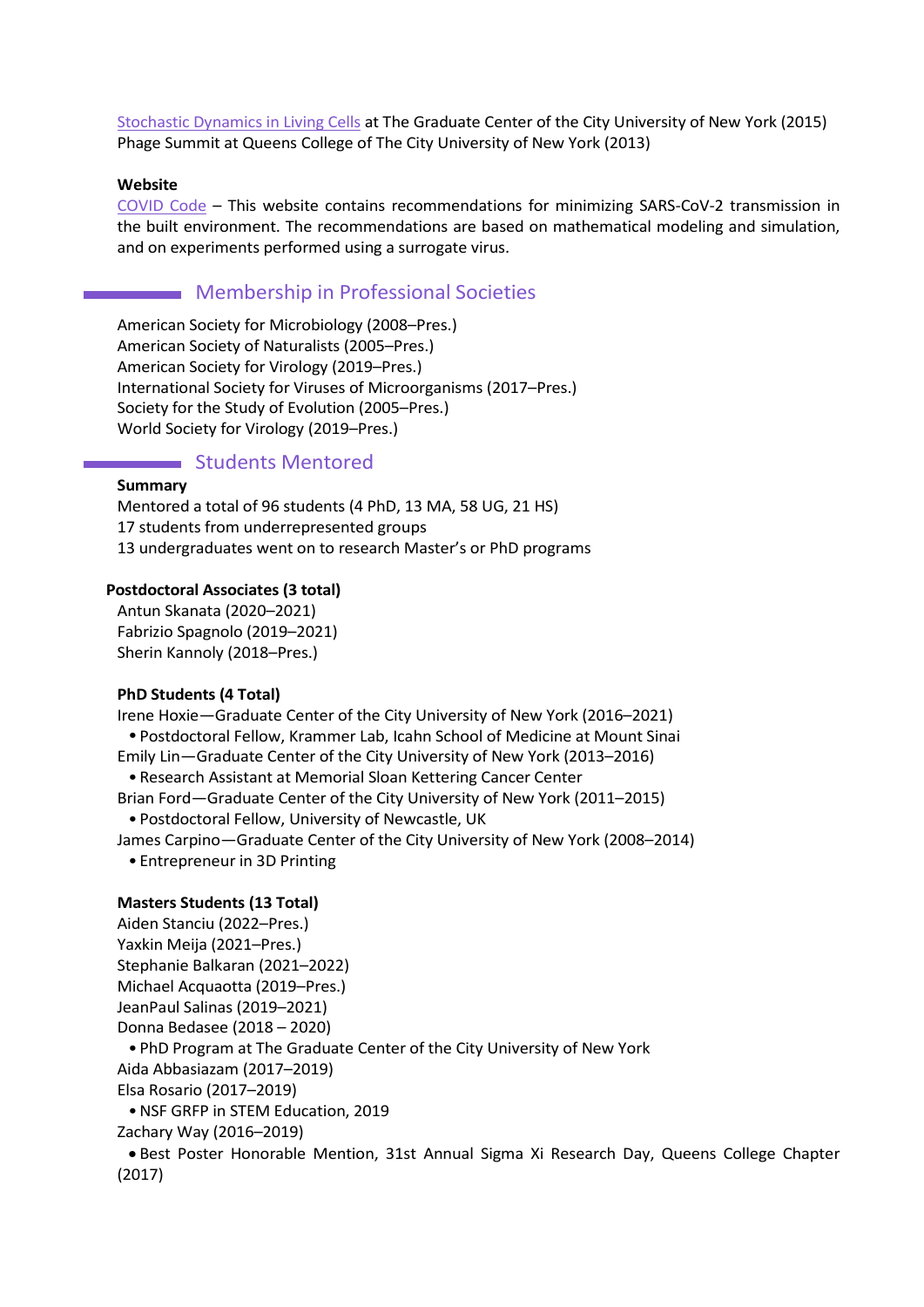[Stochastic Dynamics in Living Cells](http://www.gc.cuny.edu/Public-Programming/Calendar/Detail?id=30978) at The Graduate Center of the City University of New York (2015) Phage Summit at Queens College of The City University of New York (2013)

#### **Website**

[COVID Code](https://www.covidcode.net/) – This website contains recommendations for minimizing SARS-CoV-2 transmission in the built environment. The recommendations are based on mathematical modeling and simulation, and on experiments performed using a surrogate virus.

### Membership in Professional Societies

American Society for Microbiology (2008–Pres.) American Society of Naturalists (2005–Pres.) American Society for Virology (2019–Pres.) International Society for Viruses of Microorganisms (2017–Pres.) Society for the Study of Evolution (2005–Pres.) World Society for Virology (2019–Pres.)

# **Students Mentored**

#### **Summary**

Mentored a total of 96 students (4 PhD, 13 MA, 58 UG, 21 HS) 17 students from underrepresented groups 13 undergraduates went on to research Master's or PhD programs

#### **Postdoctoral Associates (3 total)**

Antun Skanata (2020–2021) Fabrizio Spagnolo (2019–2021) Sherin Kannoly (2018–Pres.)

#### **PhD Students (4 Total)**

Irene Hoxie—Graduate Center of the City University of New York (2016–2021) •Postdoctoral Fellow, Krammer Lab, Icahn School of Medicine at Mount Sinai Emily Lin—Graduate Center of the City University of New York (2013–2016) •Research Assistant at Memorial Sloan Kettering Cancer Center Brian Ford—Graduate Center of the City University of New York (2011–2015) •Postdoctoral Fellow, University of Newcastle, UK James Carpino—Graduate Center of the City University of New York (2008–2014) • Entrepreneur in 3D Printing **Masters Students (13 Total)**

Aiden Stanciu (2022–Pres.) Yaxkin Meija (2021–Pres.) Stephanie Balkaran (2021–2022) Michael Acquaotta (2019–Pres.) JeanPaul Salinas (2019–2021) Donna Bedasee (2018 – 2020) • PhD Program at The Graduate Center of the City University of New York Aida Abbasiazam (2017–2019) Elsa Rosario (2017–2019) •NSF GRFP in STEM Education, 2019 Zachary Way (2016–2019)

• Best Poster Honorable Mention, 31st Annual Sigma Xi Research Day, Queens College Chapter (2017)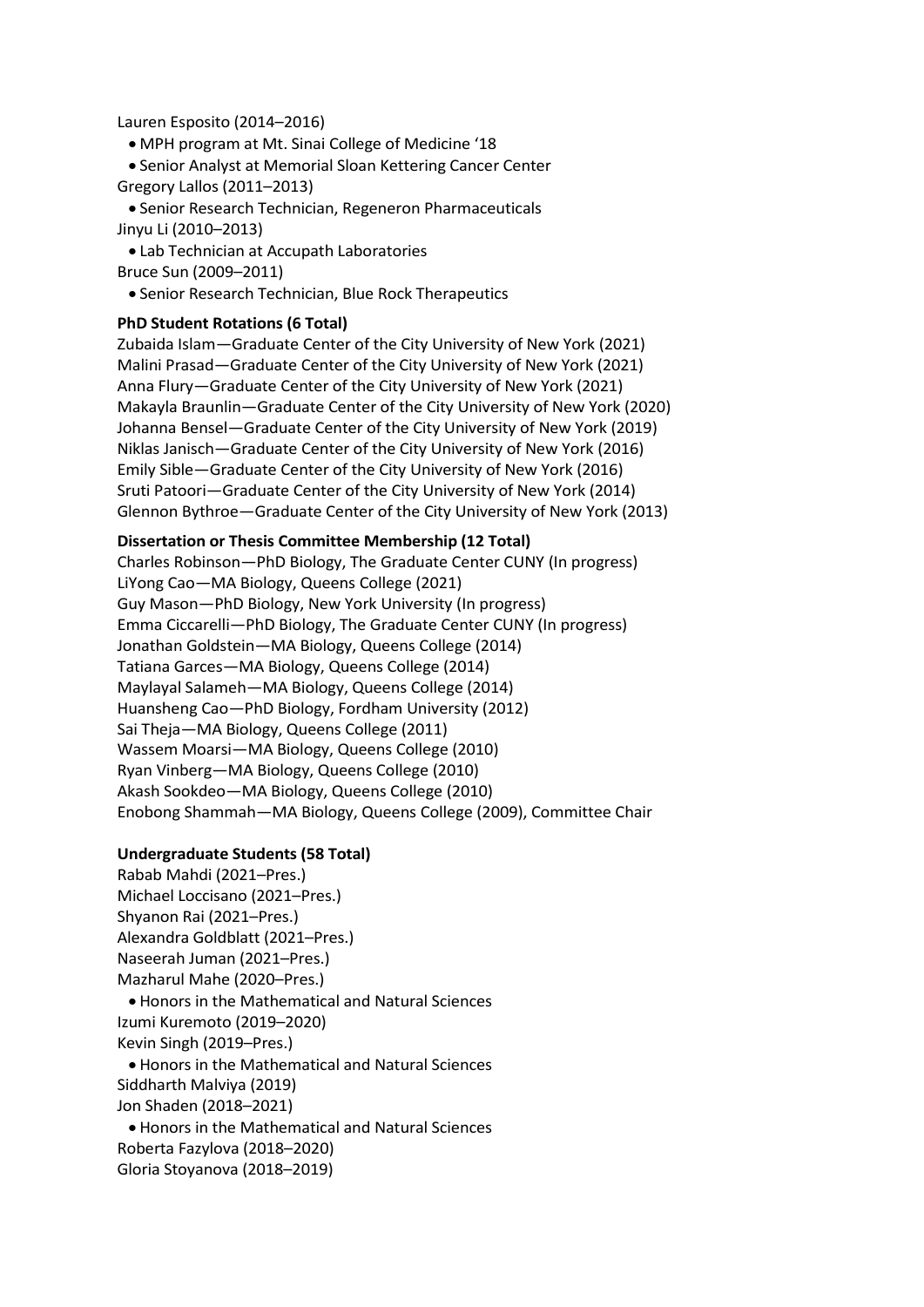#### Lauren Esposito (2014–2016)

• MPH program at Mt. Sinai College of Medicine '18

• Senior Analyst at Memorial Sloan Kettering Cancer Center Gregory Lallos (2011–2013)

• Senior Research Technician, Regeneron Pharmaceuticals Jinyu Li (2010–2013)

• Lab Technician at Accupath Laboratories Bruce Sun (2009–2011)

• Senior Research Technician, Blue Rock Therapeutics

#### **PhD Student Rotations (6 Total)**

Zubaida Islam—Graduate Center of the City University of New York (2021) Malini Prasad—Graduate Center of the City University of New York (2021) Anna Flury—Graduate Center of the City University of New York (2021) Makayla Braunlin—Graduate Center of the City University of New York (2020) Johanna Bensel—Graduate Center of the City University of New York (2019) Niklas Janisch—Graduate Center of the City University of New York (2016) Emily Sible—Graduate Center of the City University of New York (2016) Sruti Patoori—Graduate Center of the City University of New York (2014) Glennon Bythroe—Graduate Center of the City University of New York (2013)

#### **Dissertation or Thesis Committee Membership (12 Total)**

Charles Robinson—PhD Biology, The Graduate Center CUNY (In progress) LiYong Cao—MA Biology, Queens College (2021) Guy Mason—PhD Biology, New York University (In progress) Emma Ciccarelli—PhD Biology, The Graduate Center CUNY (In progress) Jonathan Goldstein—MA Biology, Queens College (2014) Tatiana Garces—MA Biology, Queens College (2014) Maylayal Salameh—MA Biology, Queens College (2014) Huansheng Cao—PhD Biology, Fordham University (2012) Sai Theja—MA Biology, Queens College (2011) Wassem Moarsi—MA Biology, Queens College (2010) Ryan Vinberg—MA Biology, Queens College (2010) Akash Sookdeo—MA Biology, Queens College (2010) Enobong Shammah—MA Biology, Queens College (2009), Committee Chair

#### **Undergraduate Students (58 Total)**

Rabab Mahdi (2021–Pres.) Michael Loccisano (2021–Pres.) Shyanon Rai (2021–Pres.) Alexandra Goldblatt (2021–Pres.) Naseerah Juman (2021–Pres.) Mazharul Mahe (2020–Pres.) • Honors in the Mathematical and Natural Sciences Izumi Kuremoto (2019–2020) Kevin Singh (2019–Pres.) • Honors in the Mathematical and Natural Sciences Siddharth Malviya (2019) Jon Shaden (2018–2021)

• Honors in the Mathematical and Natural Sciences Roberta Fazylova (2018–2020) Gloria Stoyanova (2018–2019)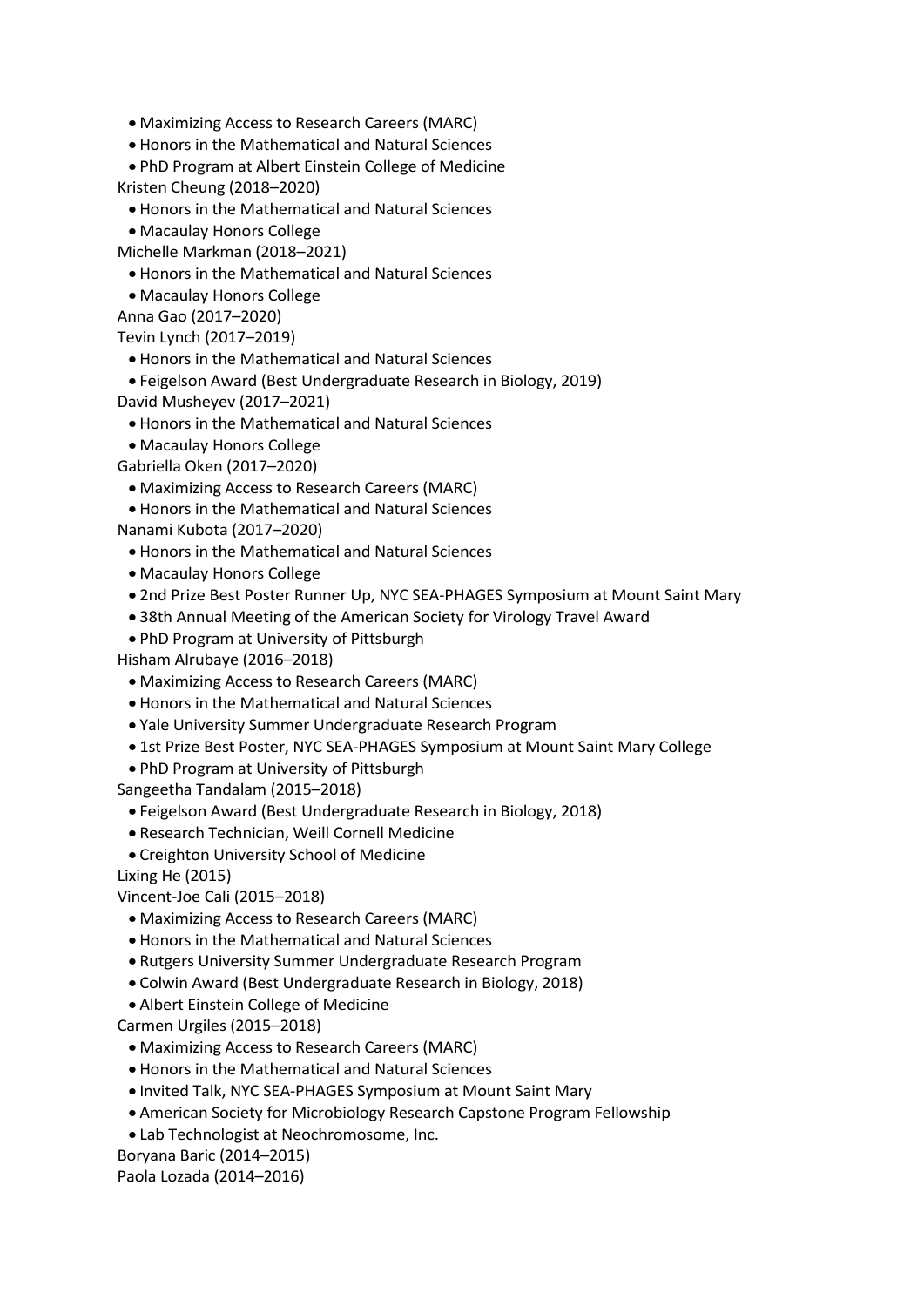• Maximizing Access to Research Careers (MARC)

• Honors in the Mathematical and Natural Sciences

• PhD Program at Albert Einstein College of Medicine Kristen Cheung (2018–2020)

- Honors in the Mathematical and Natural Sciences
- Macaulay Honors College

Michelle Markman (2018–2021)

• Honors in the Mathematical and Natural Sciences

• Macaulay Honors College

Anna Gao (2017–2020)

Tevin Lynch (2017–2019)

• Honors in the Mathematical and Natural Sciences

• Feigelson Award (Best Undergraduate Research in Biology, 2019)

David Musheyev (2017–2021)

- Honors in the Mathematical and Natural Sciences
- Macaulay Honors College

Gabriella Oken (2017–2020)

- Maximizing Access to Research Careers (MARC)
- Honors in the Mathematical and Natural Sciences

Nanami Kubota (2017–2020)

- Honors in the Mathematical and Natural Sciences
- Macaulay Honors College
- 2nd Prize Best Poster Runner Up, NYC SEA-PHAGES Symposium at Mount Saint Mary
- 38th Annual Meeting of the American Society for Virology Travel Award
- PhD Program at University of Pittsburgh

Hisham Alrubaye (2016–2018)

- Maximizing Access to Research Careers (MARC)
- Honors in the Mathematical and Natural Sciences
- Yale University Summer Undergraduate Research Program
- 1st Prize Best Poster, NYC SEA-PHAGES Symposium at Mount Saint Mary College
- PhD Program at University of Pittsburgh

Sangeetha Tandalam (2015–2018)

- Feigelson Award (Best Undergraduate Research in Biology, 2018)
- Research Technician, Weill Cornell Medicine
- Creighton University School of Medicine

Lixing He (2015)

Vincent-Joe Cali (2015–2018)

- Maximizing Access to Research Careers (MARC)
- Honors in the Mathematical and Natural Sciences
- Rutgers University Summer Undergraduate Research Program
- Colwin Award (Best Undergraduate Research in Biology, 2018)
- Albert Einstein College of Medicine

Carmen Urgiles (2015–2018)

- Maximizing Access to Research Careers (MARC)
- Honors in the Mathematical and Natural Sciences
- Invited Talk, NYC SEA-PHAGES Symposium at Mount Saint Mary
- American Society for Microbiology Research Capstone Program Fellowship
- Lab Technologist at Neochromosome, Inc.

Boryana Baric (2014–2015)

Paola Lozada (2014–2016)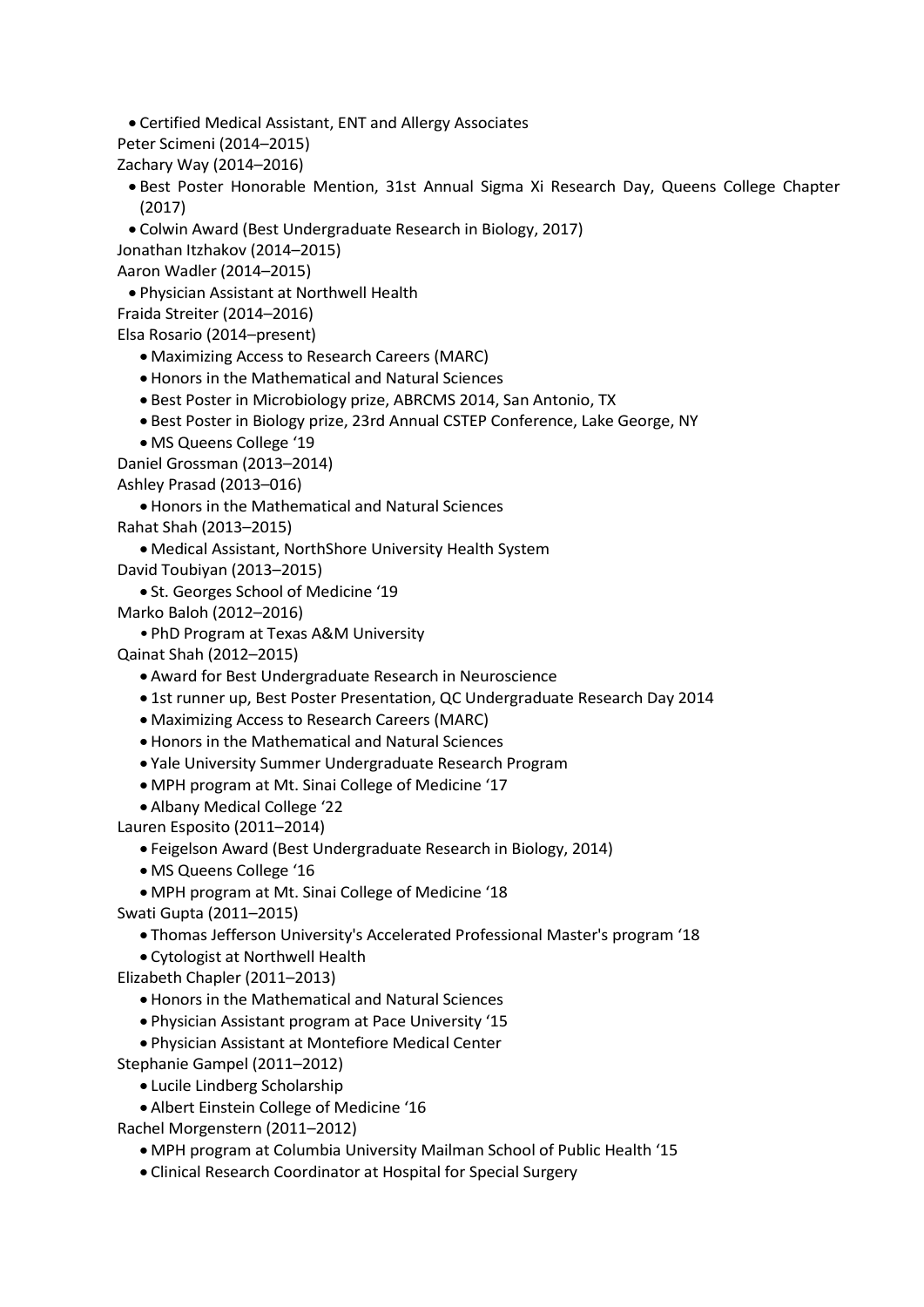• Certified Medical Assistant, ENT and Allergy Associates

- Peter Scimeni (2014–2015)
- Zachary Way (2014–2016)
	- Best Poster Honorable Mention, 31st Annual Sigma Xi Research Day, Queens College Chapter (2017)
- Colwin Award (Best Undergraduate Research in Biology, 2017)

Jonathan Itzhakov (2014–2015)

Aaron Wadler (2014–2015)

• Physician Assistant at Northwell Health

Fraida Streiter (2014–2016)

```
Elsa Rosario (2014–present)
```
- Maximizing Access to Research Careers (MARC)
- Honors in the Mathematical and Natural Sciences
- Best Poster in Microbiology prize, ABRCMS 2014, San Antonio, TX
- Best Poster in Biology prize, 23rd Annual CSTEP Conference, Lake George, NY
- MS Queens College '19

Daniel Grossman (2013–2014) Ashley Prasad (2013–016)

• Honors in the Mathematical and Natural Sciences

Rahat Shah (2013–2015)

- Medical Assistant, NorthShore University Health System
- David Toubiyan (2013–2015)
	- St. Georges School of Medicine '19
- Marko Baloh (2012–2016)
	- •PhD Program at Texas A&M University

Qainat Shah (2012–2015)

- Award for Best Undergraduate Research in Neuroscience
- 1st runner up, Best Poster Presentation, QC Undergraduate Research Day 2014
- Maximizing Access to Research Careers (MARC)
- Honors in the Mathematical and Natural Sciences
- Yale University Summer Undergraduate Research Program
- MPH program at Mt. Sinai College of Medicine '17
- Albany Medical College '22

Lauren Esposito (2011–2014)

- Feigelson Award (Best Undergraduate Research in Biology, 2014)
- MS Queens College '16
- MPH program at Mt. Sinai College of Medicine '18
- Swati Gupta (2011–2015)
	- Thomas Jefferson University's Accelerated Professional Master's program '18
	- Cytologist at Northwell Health
- Elizabeth Chapler (2011–2013)
	- Honors in the Mathematical and Natural Sciences
	- Physician Assistant program at Pace University '15
	- Physician Assistant at Montefiore Medical Center

Stephanie Gampel (2011–2012)

- Lucile Lindberg Scholarship
- Albert Einstein College of Medicine '16

Rachel Morgenstern (2011–2012)

- MPH program at Columbia University Mailman School of Public Health '15
- Clinical Research Coordinator at Hospital for Special Surgery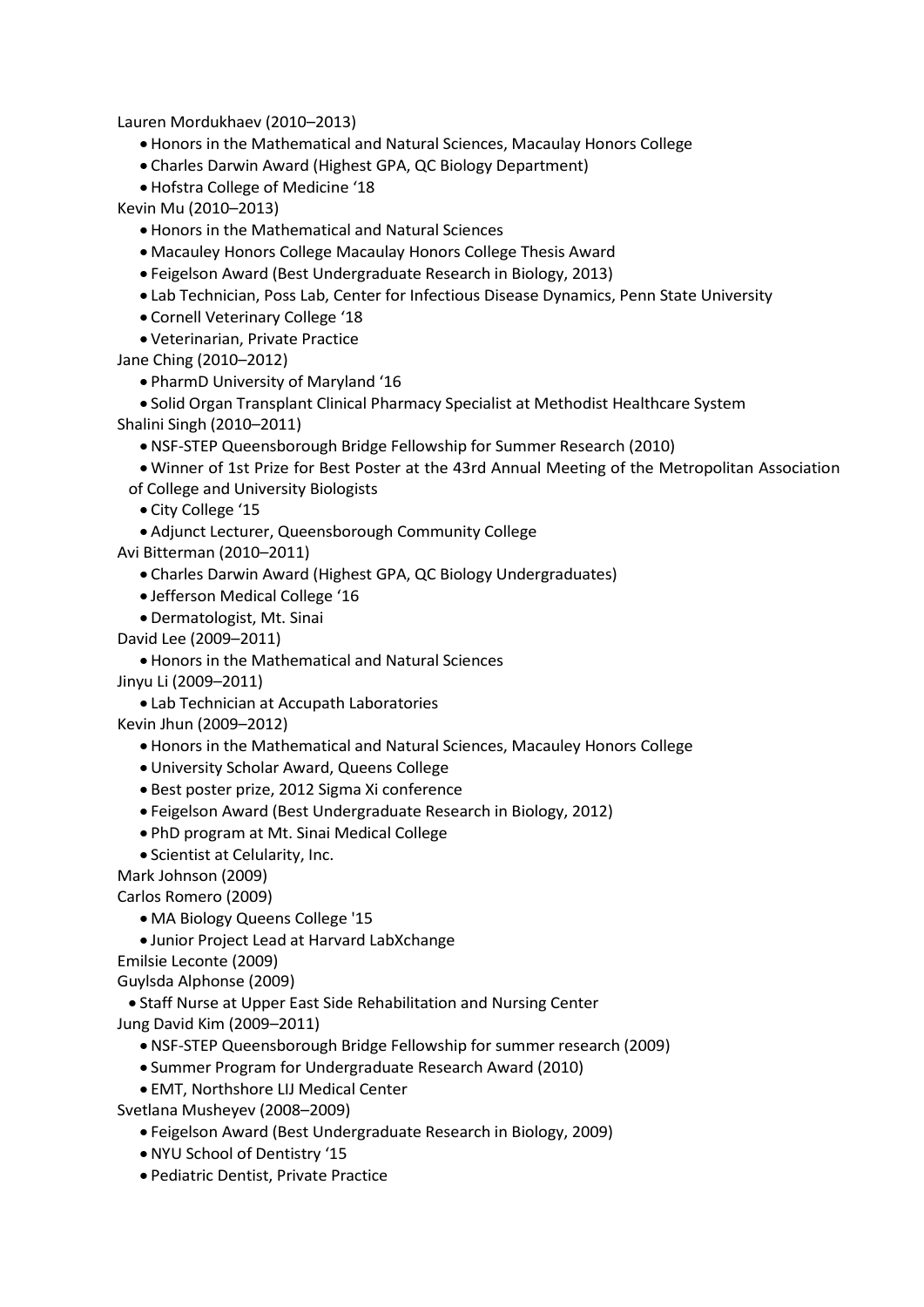Lauren Mordukhaev (2010–2013)

- Honors in the Mathematical and Natural Sciences, Macaulay Honors College
- Charles Darwin Award (Highest GPA, QC Biology Department)
- Hofstra College of Medicine '18

Kevin Mu (2010–2013)

- Honors in the Mathematical and Natural Sciences
- Macauley Honors College Macaulay Honors College Thesis Award
- Feigelson Award (Best Undergraduate Research in Biology, 2013)
- Lab Technician, Poss Lab, Center for Infectious Disease Dynamics, Penn State University
- Cornell Veterinary College '18
- Veterinarian, Private Practice

Jane Ching (2010–2012)

• PharmD University of Maryland '16

• Solid Organ Transplant Clinical Pharmacy Specialist at Methodist Healthcare System Shalini Singh (2010–2011)

- NSF-STEP Queensborough Bridge Fellowship for Summer Research (2010)
- Winner of 1st Prize for Best Poster at the 43rd Annual Meeting of the Metropolitan Association
- of College and University Biologists
	- City College '15
- Adjunct Lecturer, Queensborough Community College
- Avi Bitterman (2010–2011)
	- Charles Darwin Award (Highest GPA, QC Biology Undergraduates)
	- Jefferson Medical College '16
	- Dermatologist, Mt. Sinai
- David Lee (2009–2011)
	- Honors in the Mathematical and Natural Sciences
- Jinyu Li (2009–2011)
	- Lab Technician at Accupath Laboratories
- Kevin Jhun (2009–2012)
	- Honors in the Mathematical and Natural Sciences, Macauley Honors College
	- University Scholar Award, Queens College
	- Best poster prize, 2012 Sigma Xi conference
	- Feigelson Award (Best Undergraduate Research in Biology, 2012)
	- PhD program at Mt. Sinai Medical College
	- Scientist at Celularity, Inc.

Mark Johnson (2009)

Carlos Romero (2009)

- MA Biology Queens College '15
- Junior Project Lead at Harvard LabXchange

Emilsie Leconte (2009)

#### Guylsda Alphonse (2009)

• Staff Nurse at Upper East Side Rehabilitation and Nursing Center Jung David Kim (2009–2011)

- NSF-STEP Queensborough Bridge Fellowship for summer research (2009)
- Summer Program for Undergraduate Research Award (2010)
- EMT, Northshore LIJ Medical Center

Svetlana Musheyev (2008–2009)

- Feigelson Award (Best Undergraduate Research in Biology, 2009)
- NYU School of Dentistry '15
- Pediatric Dentist, Private Practice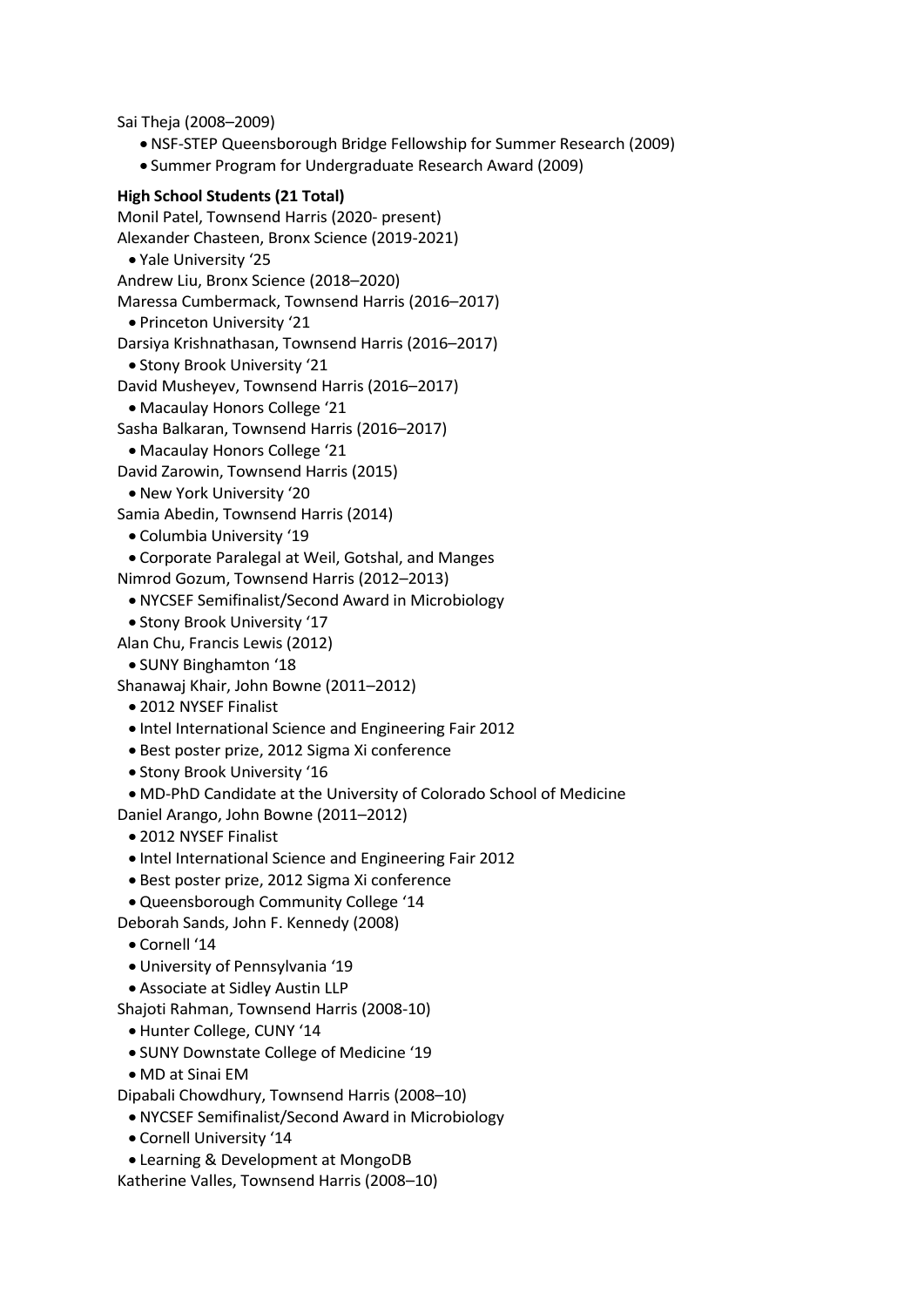Sai Theja (2008–2009)

- NSF-STEP Queensborough Bridge Fellowship for Summer Research (2009)
- Summer Program for Undergraduate Research Award (2009)

#### **High School Students (21 Total)**

Monil Patel, Townsend Harris (2020- present) Alexander Chasteen, Bronx Science (2019-2021) • Yale University '25 Andrew Liu, Bronx Science (2018–2020) Maressa Cumbermack, Townsend Harris (2016–2017) • Princeton University '21 Darsiya Krishnathasan, Townsend Harris (2016–2017) • Stony Brook University '21 David Musheyev, Townsend Harris (2016–2017) • Macaulay Honors College '21 Sasha Balkaran, Townsend Harris (2016–2017) • Macaulay Honors College '21 David Zarowin, Townsend Harris (2015)

- New York University '20
- Samia Abedin, Townsend Harris (2014)
	- Columbia University '19
- Corporate Paralegal at Weil, Gotshal, and Manges
- Nimrod Gozum, Townsend Harris (2012–2013)
- NYCSEF Semifinalist/Second Award in Microbiology
- Stony Brook University '17
- Alan Chu, Francis Lewis (2012)
- SUNY Binghamton '18
- Shanawaj Khair, John Bowne (2011–2012)
	- 2012 NYSEF Finalist
	- Intel International Science and Engineering Fair 2012
	- Best poster prize, 2012 Sigma Xi conference
	- Stony Brook University '16

• MD-PhD Candidate at the University of Colorado School of Medicine

- Daniel Arango, John Bowne (2011–2012)
	- 2012 NYSEF Finalist
	- Intel International Science and Engineering Fair 2012
- Best poster prize, 2012 Sigma Xi conference
- Queensborough Community College '14
- Deborah Sands, John F. Kennedy (2008)
- Cornell '14
- University of Pennsylvania '19
- Associate at Sidley Austin LLP
- Shajoti Rahman, Townsend Harris (2008-10)
	- Hunter College, CUNY '14
	- SUNY Downstate College of Medicine '19
	- MD at Sinai EM
- Dipabali Chowdhury, Townsend Harris (2008–10)
	- NYCSEF Semifinalist/Second Award in Microbiology
	- Cornell University '14
- Learning & Development at MongoDB

Katherine Valles, Townsend Harris (2008–10)